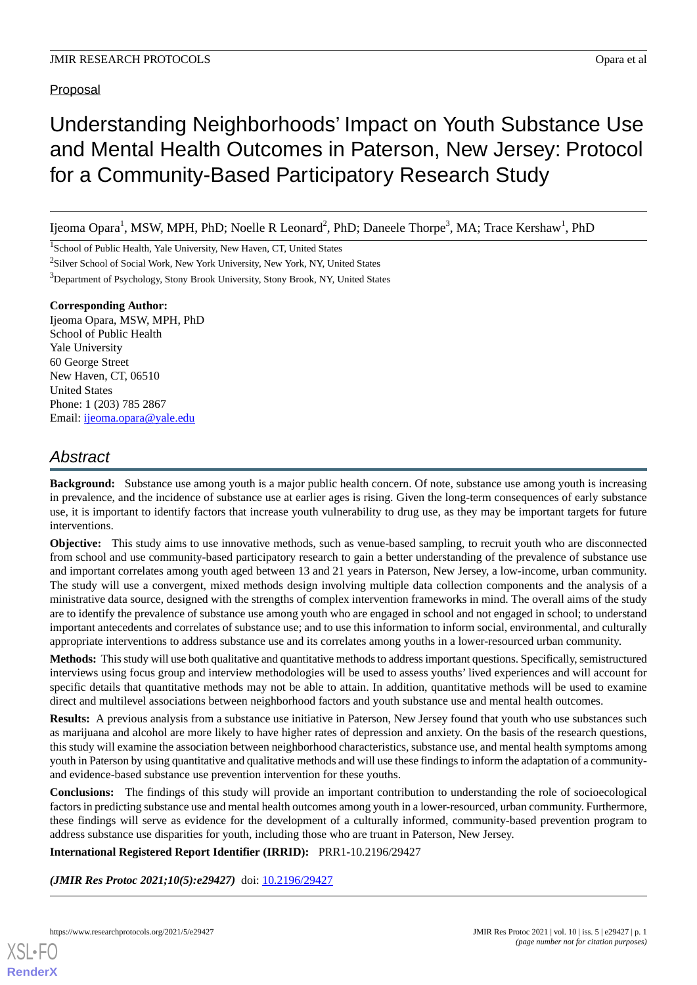# **Proposal**

# Understanding Neighborhoods' Impact on Youth Substance Use and Mental Health Outcomes in Paterson, New Jersey: Protocol for a Community-Based Participatory Research Study

Ijeoma Opara<sup>1</sup>, MSW, MPH, PhD; Noelle R Leonard<sup>2</sup>, PhD; Daneele Thorpe<sup>3</sup>, MA; Trace Kershaw<sup>1</sup>, PhD

<sup>1</sup>School of Public Health, Yale University, New Haven, CT, United States

<sup>2</sup>Silver School of Social Work, New York University, New York, NY, United States

<sup>3</sup>Department of Psychology, Stony Brook University, Stony Brook, NY, United States

### **Corresponding Author:** Ijeoma Opara, MSW, MPH, PhD

School of Public Health Yale University 60 George Street New Haven, CT, 06510 United States Phone: 1 (203) 785 2867 Email: [ijeoma.opara@yale.edu](mailto:ijeoma.opara@yale.edu)

# *Abstract*

**Background:** Substance use among youth is a major public health concern. Of note, substance use among youth is increasing in prevalence, and the incidence of substance use at earlier ages is rising. Given the long-term consequences of early substance use, it is important to identify factors that increase youth vulnerability to drug use, as they may be important targets for future interventions.

**Objective:** This study aims to use innovative methods, such as venue-based sampling, to recruit youth who are disconnected from school and use community-based participatory research to gain a better understanding of the prevalence of substance use and important correlates among youth aged between 13 and 21 years in Paterson, New Jersey, a low-income, urban community. The study will use a convergent, mixed methods design involving multiple data collection components and the analysis of a ministrative data source, designed with the strengths of complex intervention frameworks in mind. The overall aims of the study are to identify the prevalence of substance use among youth who are engaged in school and not engaged in school; to understand important antecedents and correlates of substance use; and to use this information to inform social, environmental, and culturally appropriate interventions to address substance use and its correlates among youths in a lower-resourced urban community.

**Methods:** This study will use both qualitative and quantitative methods to address important questions. Specifically, semistructured interviews using focus group and interview methodologies will be used to assess youths' lived experiences and will account for specific details that quantitative methods may not be able to attain. In addition, quantitative methods will be used to examine direct and multilevel associations between neighborhood factors and youth substance use and mental health outcomes.

**Results:** A previous analysis from a substance use initiative in Paterson, New Jersey found that youth who use substances such as marijuana and alcohol are more likely to have higher rates of depression and anxiety. On the basis of the research questions, this study will examine the association between neighborhood characteristics, substance use, and mental health symptoms among youth in Paterson by using quantitative and qualitative methods and will use these findings to inform the adaptation of a communityand evidence-based substance use prevention intervention for these youths.

**Conclusions:** The findings of this study will provide an important contribution to understanding the role of socioecological factors in predicting substance use and mental health outcomes among youth in a lower-resourced, urban community. Furthermore, these findings will serve as evidence for the development of a culturally informed, community-based prevention program to address substance use disparities for youth, including those who are truant in Paterson, New Jersey.

**International Registered Report Identifier (IRRID):** PRR1-10.2196/29427

*(JMIR Res Protoc 2021;10(5):e29427)* doi:  $10.2196/29427$ 

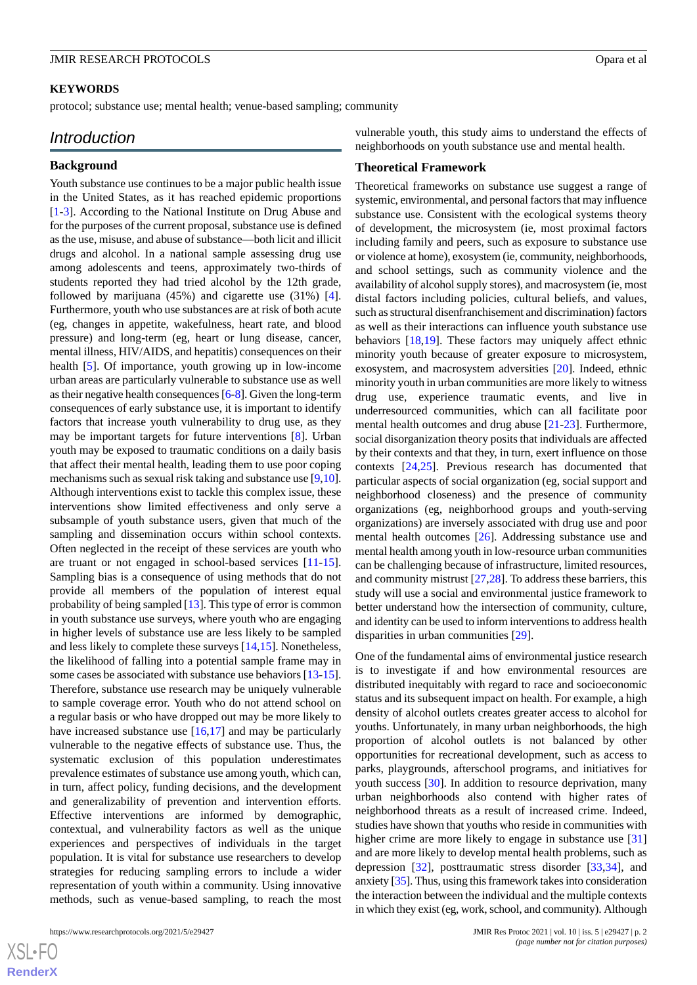### **KEYWORDS**

protocol; substance use; mental health; venue-based sampling; community

# *Introduction*

### **Background**

Youth substance use continues to be a major public health issue in the United States, as it has reached epidemic proportions [[1](#page-9-0)[-3](#page-9-1)]. According to the National Institute on Drug Abuse and for the purposes of the current proposal, substance use is defined as the use, misuse, and abuse of substance—both licit and illicit drugs and alcohol. In a national sample assessing drug use among adolescents and teens, approximately two-thirds of students reported they had tried alcohol by the 12th grade, followed by marijuana (45%) and cigarette use (31%) [[4\]](#page-9-2). Furthermore, youth who use substances are at risk of both acute (eg, changes in appetite, wakefulness, heart rate, and blood pressure) and long-term (eg, heart or lung disease, cancer, mental illness, HIV/AIDS, and hepatitis) consequences on their health [\[5](#page-9-3)]. Of importance, youth growing up in low-income urban areas are particularly vulnerable to substance use as well as their negative health consequences [\[6](#page-10-0)-[8\]](#page-10-1). Given the long-term consequences of early substance use, it is important to identify factors that increase youth vulnerability to drug use, as they may be important targets for future interventions [\[8](#page-10-1)]. Urban youth may be exposed to traumatic conditions on a daily basis that affect their mental health, leading them to use poor coping mechanisms such as sexual risk taking and substance use [[9,](#page-10-2)[10\]](#page-10-3). Although interventions exist to tackle this complex issue, these interventions show limited effectiveness and only serve a subsample of youth substance users, given that much of the sampling and dissemination occurs within school contexts. Often neglected in the receipt of these services are youth who are truant or not engaged in school-based services [\[11](#page-10-4)-[15\]](#page-10-5). Sampling bias is a consequence of using methods that do not provide all members of the population of interest equal probability of being sampled [[13](#page-10-6)]. This type of error is common in youth substance use surveys, where youth who are engaging in higher levels of substance use are less likely to be sampled and less likely to complete these surveys [[14,](#page-10-7)[15](#page-10-5)]. Nonetheless, the likelihood of falling into a potential sample frame may in some cases be associated with substance use behaviors [\[13](#page-10-6)-[15\]](#page-10-5). Therefore, substance use research may be uniquely vulnerable to sample coverage error. Youth who do not attend school on a regular basis or who have dropped out may be more likely to have increased substance use [\[16](#page-10-8),[17\]](#page-10-9) and may be particularly vulnerable to the negative effects of substance use. Thus, the systematic exclusion of this population underestimates prevalence estimates of substance use among youth, which can, in turn, affect policy, funding decisions, and the development and generalizability of prevention and intervention efforts. Effective interventions are informed by demographic, contextual, and vulnerability factors as well as the unique experiences and perspectives of individuals in the target population. It is vital for substance use researchers to develop strategies for reducing sampling errors to include a wider representation of youth within a community. Using innovative methods, such as venue-based sampling, to reach the most

vulnerable youth, this study aims to understand the effects of neighborhoods on youth substance use and mental health.

### **Theoretical Framework**

Theoretical frameworks on substance use suggest a range of systemic, environmental, and personal factors that may influence substance use. Consistent with the ecological systems theory of development, the microsystem (ie, most proximal factors including family and peers, such as exposure to substance use or violence at home), exosystem (ie, community, neighborhoods, and school settings, such as community violence and the availability of alcohol supply stores), and macrosystem (ie, most distal factors including policies, cultural beliefs, and values, such as structural disenfranchisement and discrimination) factors as well as their interactions can influence youth substance use behaviors [[18,](#page-10-10)[19](#page-10-11)]. These factors may uniquely affect ethnic minority youth because of greater exposure to microsystem, exosystem, and macrosystem adversities [[20\]](#page-10-12). Indeed, ethnic minority youth in urban communities are more likely to witness drug use, experience traumatic events, and live in underresourced communities, which can all facilitate poor mental health outcomes and drug abuse [\[21](#page-10-13)-[23\]](#page-10-14). Furthermore, social disorganization theory posits that individuals are affected by their contexts and that they, in turn, exert influence on those contexts [[24,](#page-10-15)[25](#page-10-16)]. Previous research has documented that particular aspects of social organization (eg, social support and neighborhood closeness) and the presence of community organizations (eg, neighborhood groups and youth-serving organizations) are inversely associated with drug use and poor mental health outcomes [[26\]](#page-10-17). Addressing substance use and mental health among youth in low-resource urban communities can be challenging because of infrastructure, limited resources, and community mistrust [[27,](#page-10-18)[28](#page-11-0)]. To address these barriers, this study will use a social and environmental justice framework to better understand how the intersection of community, culture, and identity can be used to inform interventions to address health disparities in urban communities [\[29](#page-11-1)].

One of the fundamental aims of environmental justice research is to investigate if and how environmental resources are distributed inequitably with regard to race and socioeconomic status and its subsequent impact on health. For example, a high density of alcohol outlets creates greater access to alcohol for youths. Unfortunately, in many urban neighborhoods, the high proportion of alcohol outlets is not balanced by other opportunities for recreational development, such as access to parks, playgrounds, afterschool programs, and initiatives for youth success [[30\]](#page-11-2). In addition to resource deprivation, many urban neighborhoods also contend with higher rates of neighborhood threats as a result of increased crime. Indeed, studies have shown that youths who reside in communities with higher crime are more likely to engage in substance use [\[31](#page-11-3)] and are more likely to develop mental health problems, such as depression [\[32](#page-11-4)], posttraumatic stress disorder [[33,](#page-11-5)[34](#page-11-6)], and anxiety [\[35](#page-11-7)]. Thus, using this framework takes into consideration the interaction between the individual and the multiple contexts in which they exist (eg, work, school, and community). Although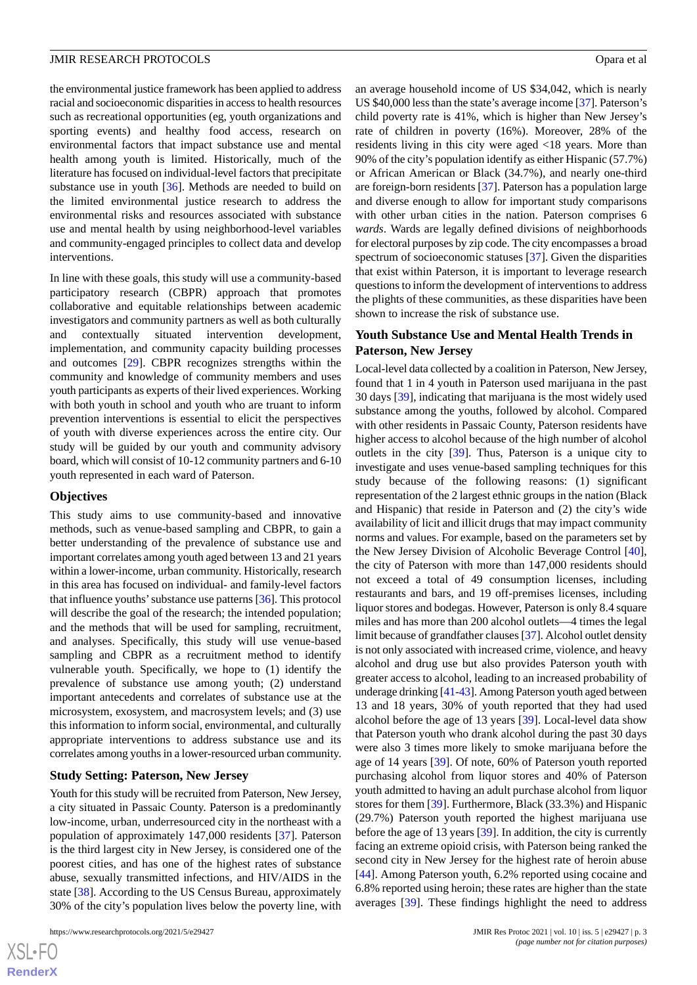the environmental justice framework has been applied to address racial and socioeconomic disparities in access to health resources such as recreational opportunities (eg, youth organizations and sporting events) and healthy food access, research on environmental factors that impact substance use and mental health among youth is limited. Historically, much of the literature has focused on individual-level factors that precipitate substance use in youth [\[36](#page-11-8)]. Methods are needed to build on the limited environmental justice research to address the environmental risks and resources associated with substance use and mental health by using neighborhood-level variables and community-engaged principles to collect data and develop interventions.

In line with these goals, this study will use a community-based participatory research (CBPR) approach that promotes collaborative and equitable relationships between academic investigators and community partners as well as both culturally and contextually situated intervention development, implementation, and community capacity building processes and outcomes [[29\]](#page-11-1). CBPR recognizes strengths within the community and knowledge of community members and uses youth participants as experts of their lived experiences. Working with both youth in school and youth who are truant to inform prevention interventions is essential to elicit the perspectives of youth with diverse experiences across the entire city. Our study will be guided by our youth and community advisory board, which will consist of 10-12 community partners and 6-10 youth represented in each ward of Paterson.

#### **Objectives**

This study aims to use community-based and innovative methods, such as venue-based sampling and CBPR, to gain a better understanding of the prevalence of substance use and important correlates among youth aged between 13 and 21 years within a lower-income, urban community. Historically, research in this area has focused on individual- and family-level factors that influence youths'substance use patterns [\[36](#page-11-8)]. This protocol will describe the goal of the research; the intended population; and the methods that will be used for sampling, recruitment, and analyses. Specifically, this study will use venue-based sampling and CBPR as a recruitment method to identify vulnerable youth. Specifically, we hope to (1) identify the prevalence of substance use among youth; (2) understand important antecedents and correlates of substance use at the microsystem, exosystem, and macrosystem levels; and (3) use this information to inform social, environmental, and culturally appropriate interventions to address substance use and its correlates among youths in a lower-resourced urban community.

#### **Study Setting: Paterson, New Jersey**

Youth for this study will be recruited from Paterson, New Jersey, a city situated in Passaic County. Paterson is a predominantly low-income, urban, underresourced city in the northeast with a population of approximately 147,000 residents [\[37](#page-11-9)]. Paterson is the third largest city in New Jersey, is considered one of the poorest cities, and has one of the highest rates of substance abuse, sexually transmitted infections, and HIV/AIDS in the state [\[38](#page-11-10)]. According to the US Census Bureau, approximately 30% of the city's population lives below the poverty line, with

an average household income of US \$34,042, which is nearly US \$40,000 less than the state's average income [[37\]](#page-11-9). Paterson's child poverty rate is 41%, which is higher than New Jersey's rate of children in poverty (16%). Moreover, 28% of the residents living in this city were aged <18 years. More than 90% of the city's population identify as either Hispanic (57.7%) or African American or Black (34.7%), and nearly one-third are foreign-born residents [[37\]](#page-11-9). Paterson has a population large and diverse enough to allow for important study comparisons with other urban cities in the nation. Paterson comprises 6 *wards*. Wards are legally defined divisions of neighborhoods for electoral purposes by zip code. The city encompasses a broad spectrum of socioeconomic statuses [\[37](#page-11-9)]. Given the disparities that exist within Paterson, it is important to leverage research questions to inform the development of interventions to address the plights of these communities, as these disparities have been shown to increase the risk of substance use.

### **Youth Substance Use and Mental Health Trends in Paterson, New Jersey**

Local-level data collected by a coalition in Paterson, New Jersey, found that 1 in 4 youth in Paterson used marijuana in the past 30 days [[39\]](#page-11-11), indicating that marijuana is the most widely used substance among the youths, followed by alcohol. Compared with other residents in Passaic County, Paterson residents have higher access to alcohol because of the high number of alcohol outlets in the city [[39\]](#page-11-11). Thus, Paterson is a unique city to investigate and uses venue-based sampling techniques for this study because of the following reasons: (1) significant representation of the 2 largest ethnic groups in the nation (Black and Hispanic) that reside in Paterson and (2) the city's wide availability of licit and illicit drugs that may impact community norms and values. For example, based on the parameters set by the New Jersey Division of Alcoholic Beverage Control [[40\]](#page-11-12), the city of Paterson with more than 147,000 residents should not exceed a total of 49 consumption licenses, including restaurants and bars, and 19 off-premises licenses, including liquor stores and bodegas. However, Paterson is only 8.4 square miles and has more than 200 alcohol outlets—4 times the legal limit because of grandfather clauses [\[37](#page-11-9)]. Alcohol outlet density is not only associated with increased crime, violence, and heavy alcohol and drug use but also provides Paterson youth with greater access to alcohol, leading to an increased probability of underage drinking [\[41](#page-11-13)[-43\]](#page-11-14). Among Paterson youth aged between 13 and 18 years, 30% of youth reported that they had used alcohol before the age of 13 years [\[39](#page-11-11)]. Local-level data show that Paterson youth who drank alcohol during the past 30 days were also 3 times more likely to smoke marijuana before the age of 14 years [[39\]](#page-11-11). Of note, 60% of Paterson youth reported purchasing alcohol from liquor stores and 40% of Paterson youth admitted to having an adult purchase alcohol from liquor stores for them [\[39](#page-11-11)]. Furthermore, Black (33.3%) and Hispanic (29.7%) Paterson youth reported the highest marijuana use before the age of 13 years [[39\]](#page-11-11). In addition, the city is currently facing an extreme opioid crisis, with Paterson being ranked the second city in New Jersey for the highest rate of heroin abuse [[44\]](#page-11-15). Among Paterson youth, 6.2% reported using cocaine and 6.8% reported using heroin; these rates are higher than the state averages [[39\]](#page-11-11). These findings highlight the need to address

 $XS$  • FC **[RenderX](http://www.renderx.com/)**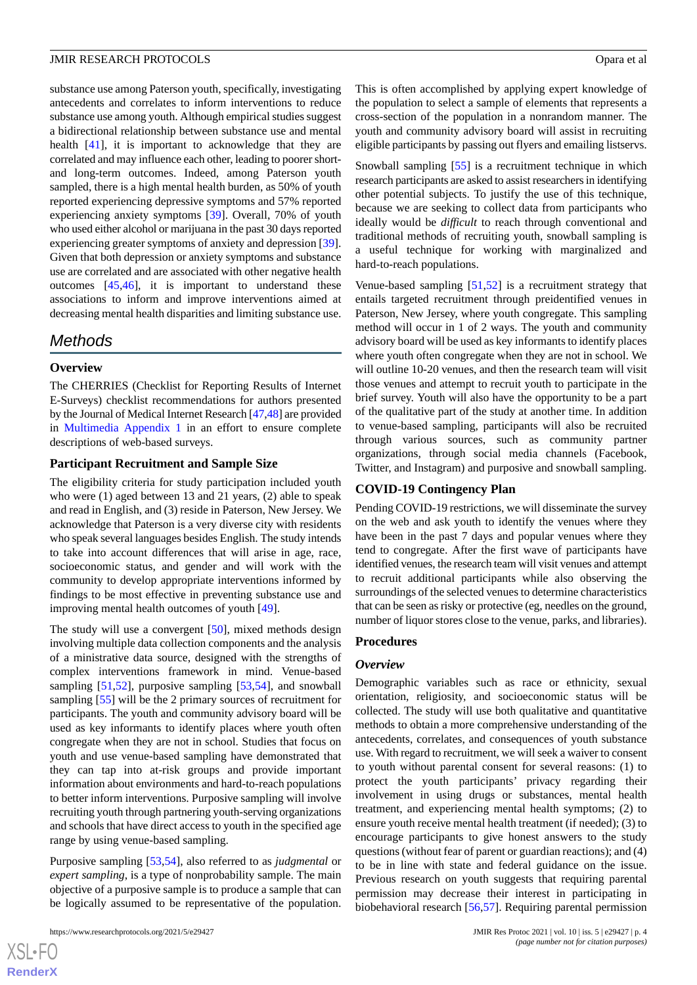substance use among Paterson youth, specifically, investigating antecedents and correlates to inform interventions to reduce substance use among youth. Although empirical studies suggest a bidirectional relationship between substance use and mental health [[41\]](#page-11-13), it is important to acknowledge that they are correlated and may influence each other, leading to poorer shortand long-term outcomes. Indeed, among Paterson youth sampled, there is a high mental health burden, as 50% of youth reported experiencing depressive symptoms and 57% reported experiencing anxiety symptoms [\[39](#page-11-11)]. Overall, 70% of youth who used either alcohol or marijuana in the past 30 days reported experiencing greater symptoms of anxiety and depression [[39\]](#page-11-11). Given that both depression or anxiety symptoms and substance use are correlated and are associated with other negative health outcomes [\[45](#page-11-16),[46\]](#page-11-17), it is important to understand these associations to inform and improve interventions aimed at decreasing mental health disparities and limiting substance use.

# *Methods*

# **Overview**

The CHERRIES (Checklist for Reporting Results of Internet E-Surveys) checklist recommendations for authors presented by the Journal of Medical Internet Research [\[47](#page-11-18)[,48](#page-11-19)] are provided in [Multimedia Appendix 1](#page-9-4) in an effort to ensure complete descriptions of web-based surveys.

### **Participant Recruitment and Sample Size**

The eligibility criteria for study participation included youth who were (1) aged between 13 and 21 years, (2) able to speak and read in English, and (3) reside in Paterson, New Jersey. We acknowledge that Paterson is a very diverse city with residents who speak several languages besides English. The study intends to take into account differences that will arise in age, race, socioeconomic status, and gender and will work with the community to develop appropriate interventions informed by findings to be most effective in preventing substance use and improving mental health outcomes of youth [[49\]](#page-11-20).

The study will use a convergent [[50\]](#page-11-21), mixed methods design involving multiple data collection components and the analysis of a ministrative data source, designed with the strengths of complex interventions framework in mind. Venue-based sampling [\[51](#page-12-0),[52\]](#page-12-1), purposive sampling [\[53](#page-12-2),[54\]](#page-12-3), and snowball sampling [\[55](#page-12-4)] will be the 2 primary sources of recruitment for participants. The youth and community advisory board will be used as key informants to identify places where youth often congregate when they are not in school. Studies that focus on youth and use venue-based sampling have demonstrated that they can tap into at-risk groups and provide important information about environments and hard-to-reach populations to better inform interventions. Purposive sampling will involve recruiting youth through partnering youth-serving organizations and schools that have direct access to youth in the specified age range by using venue-based sampling.

Purposive sampling [\[53](#page-12-2),[54\]](#page-12-3), also referred to as *judgmental* or *expert sampling*, is a type of nonprobability sample. The main objective of a purposive sample is to produce a sample that can be logically assumed to be representative of the population.

This is often accomplished by applying expert knowledge of the population to select a sample of elements that represents a cross-section of the population in a nonrandom manner. The youth and community advisory board will assist in recruiting eligible participants by passing out flyers and emailing listservs.

Snowball sampling [[55\]](#page-12-4) is a recruitment technique in which research participants are asked to assist researchers in identifying other potential subjects. To justify the use of this technique, because we are seeking to collect data from participants who ideally would be *difficult* to reach through conventional and traditional methods of recruiting youth, snowball sampling is a useful technique for working with marginalized and hard-to-reach populations.

Venue-based sampling [[51](#page-12-0)[,52](#page-12-1)] is a recruitment strategy that entails targeted recruitment through preidentified venues in Paterson, New Jersey, where youth congregate. This sampling method will occur in 1 of 2 ways. The youth and community advisory board will be used as key informants to identify places where youth often congregate when they are not in school. We will outline 10-20 venues, and then the research team will visit those venues and attempt to recruit youth to participate in the brief survey. Youth will also have the opportunity to be a part of the qualitative part of the study at another time. In addition to venue-based sampling, participants will also be recruited through various sources, such as community partner organizations, through social media channels (Facebook, Twitter, and Instagram) and purposive and snowball sampling.

# **COVID-19 Contingency Plan**

Pending COVID-19 restrictions, we will disseminate the survey on the web and ask youth to identify the venues where they have been in the past 7 days and popular venues where they tend to congregate. After the first wave of participants have identified venues, the research team will visit venues and attempt to recruit additional participants while also observing the surroundings of the selected venues to determine characteristics that can be seen as risky or protective (eg, needles on the ground, number of liquor stores close to the venue, parks, and libraries).

### **Procedures**

### *Overview*

Demographic variables such as race or ethnicity, sexual orientation, religiosity, and socioeconomic status will be collected. The study will use both qualitative and quantitative methods to obtain a more comprehensive understanding of the antecedents, correlates, and consequences of youth substance use. With regard to recruitment, we will seek a waiver to consent to youth without parental consent for several reasons: (1) to protect the youth participants' privacy regarding their involvement in using drugs or substances, mental health treatment, and experiencing mental health symptoms; (2) to ensure youth receive mental health treatment (if needed); (3) to encourage participants to give honest answers to the study questions (without fear of parent or guardian reactions); and (4) to be in line with state and federal guidance on the issue. Previous research on youth suggests that requiring parental permission may decrease their interest in participating in biobehavioral research [\[56](#page-12-5),[57\]](#page-12-6). Requiring parental permission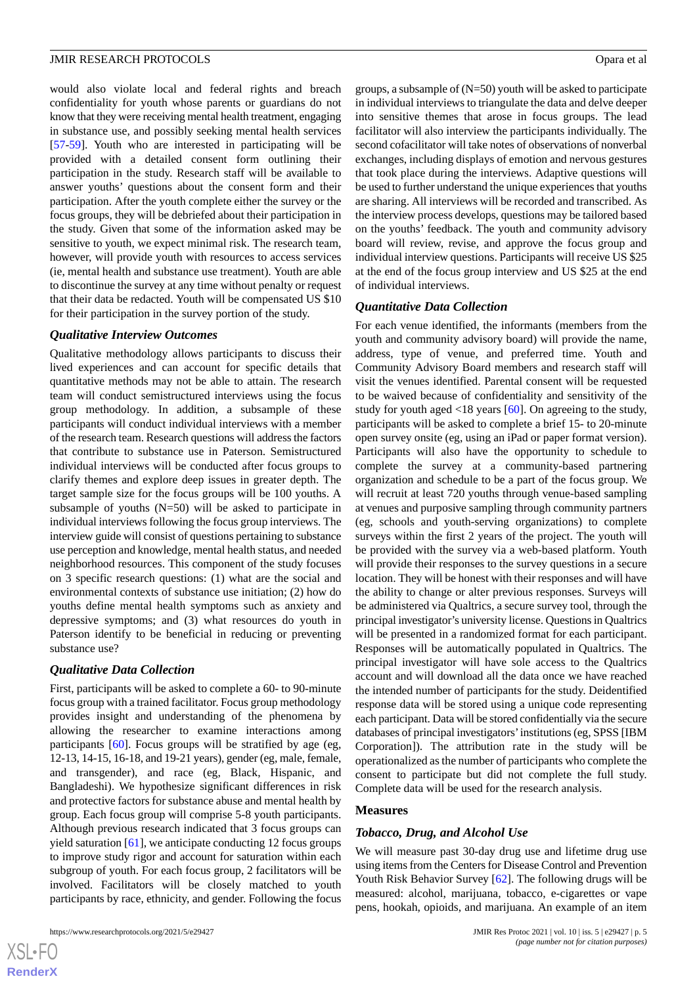would also violate local and federal rights and breach confidentiality for youth whose parents or guardians do not know that they were receiving mental health treatment, engaging in substance use, and possibly seeking mental health services [[57](#page-12-6)[-59](#page-12-7)]. Youth who are interested in participating will be provided with a detailed consent form outlining their participation in the study. Research staff will be available to answer youths' questions about the consent form and their participation. After the youth complete either the survey or the focus groups, they will be debriefed about their participation in the study. Given that some of the information asked may be sensitive to youth, we expect minimal risk. The research team, however, will provide youth with resources to access services (ie, mental health and substance use treatment). Youth are able to discontinue the survey at any time without penalty or request that their data be redacted. Youth will be compensated US \$10 for their participation in the survey portion of the study.

### *Qualitative Interview Outcomes*

Qualitative methodology allows participants to discuss their lived experiences and can account for specific details that quantitative methods may not be able to attain. The research team will conduct semistructured interviews using the focus group methodology. In addition, a subsample of these participants will conduct individual interviews with a member of the research team. Research questions will address the factors that contribute to substance use in Paterson. Semistructured individual interviews will be conducted after focus groups to clarify themes and explore deep issues in greater depth. The target sample size for the focus groups will be 100 youths. A subsample of youths  $(N=50)$  will be asked to participate in individual interviews following the focus group interviews. The interview guide will consist of questions pertaining to substance use perception and knowledge, mental health status, and needed neighborhood resources. This component of the study focuses on 3 specific research questions: (1) what are the social and environmental contexts of substance use initiation; (2) how do youths define mental health symptoms such as anxiety and depressive symptoms; and (3) what resources do youth in Paterson identify to be beneficial in reducing or preventing substance use?

# *Qualitative Data Collection*

First, participants will be asked to complete a 60- to 90-minute focus group with a trained facilitator. Focus group methodology provides insight and understanding of the phenomena by allowing the researcher to examine interactions among participants [\[60](#page-12-8)]. Focus groups will be stratified by age (eg, 12-13, 14-15, 16-18, and 19-21 years), gender (eg, male, female, and transgender), and race (eg, Black, Hispanic, and Bangladeshi). We hypothesize significant differences in risk and protective factors for substance abuse and mental health by group. Each focus group will comprise 5-8 youth participants. Although previous research indicated that 3 focus groups can yield saturation [[61\]](#page-12-9), we anticipate conducting 12 focus groups to improve study rigor and account for saturation within each subgroup of youth. For each focus group, 2 facilitators will be involved. Facilitators will be closely matched to youth participants by race, ethnicity, and gender. Following the focus

 $XS$  $\cdot$ FC **[RenderX](http://www.renderx.com/)**

groups, a subsample of (N=50) youth will be asked to participate in individual interviews to triangulate the data and delve deeper into sensitive themes that arose in focus groups. The lead facilitator will also interview the participants individually. The second cofacilitator will take notes of observations of nonverbal exchanges, including displays of emotion and nervous gestures that took place during the interviews. Adaptive questions will be used to further understand the unique experiences that youths are sharing. All interviews will be recorded and transcribed. As the interview process develops, questions may be tailored based on the youths' feedback. The youth and community advisory board will review, revise, and approve the focus group and individual interview questions. Participants will receive US \$25 at the end of the focus group interview and US \$25 at the end of individual interviews.

### *Quantitative Data Collection*

For each venue identified, the informants (members from the youth and community advisory board) will provide the name, address, type of venue, and preferred time. Youth and Community Advisory Board members and research staff will visit the venues identified. Parental consent will be requested to be waived because of confidentiality and sensitivity of the study for youth aged  $\langle 18 \rangle$  years [[60\]](#page-12-8). On agreeing to the study, participants will be asked to complete a brief 15- to 20-minute open survey onsite (eg, using an iPad or paper format version). Participants will also have the opportunity to schedule to complete the survey at a community-based partnering organization and schedule to be a part of the focus group. We will recruit at least 720 youths through venue-based sampling at venues and purposive sampling through community partners (eg, schools and youth-serving organizations) to complete surveys within the first 2 years of the project. The youth will be provided with the survey via a web-based platform. Youth will provide their responses to the survey questions in a secure location. They will be honest with their responses and will have the ability to change or alter previous responses. Surveys will be administered via Qualtrics, a secure survey tool, through the principal investigator's university license. Questions in Qualtrics will be presented in a randomized format for each participant. Responses will be automatically populated in Qualtrics. The principal investigator will have sole access to the Qualtrics account and will download all the data once we have reached the intended number of participants for the study. Deidentified response data will be stored using a unique code representing each participant. Data will be stored confidentially via the secure databases of principal investigators'institutions (eg, SPSS [IBM Corporation]). The attribution rate in the study will be operationalized as the number of participants who complete the consent to participate but did not complete the full study. Complete data will be used for the research analysis.

### **Measures**

### *Tobacco, Drug, and Alcohol Use*

We will measure past 30-day drug use and lifetime drug use using items from the Centers for Disease Control and Prevention Youth Risk Behavior Survey [\[62](#page-12-10)]. The following drugs will be measured: alcohol, marijuana, tobacco, e-cigarettes or vape pens, hookah, opioids, and marijuana. An example of an item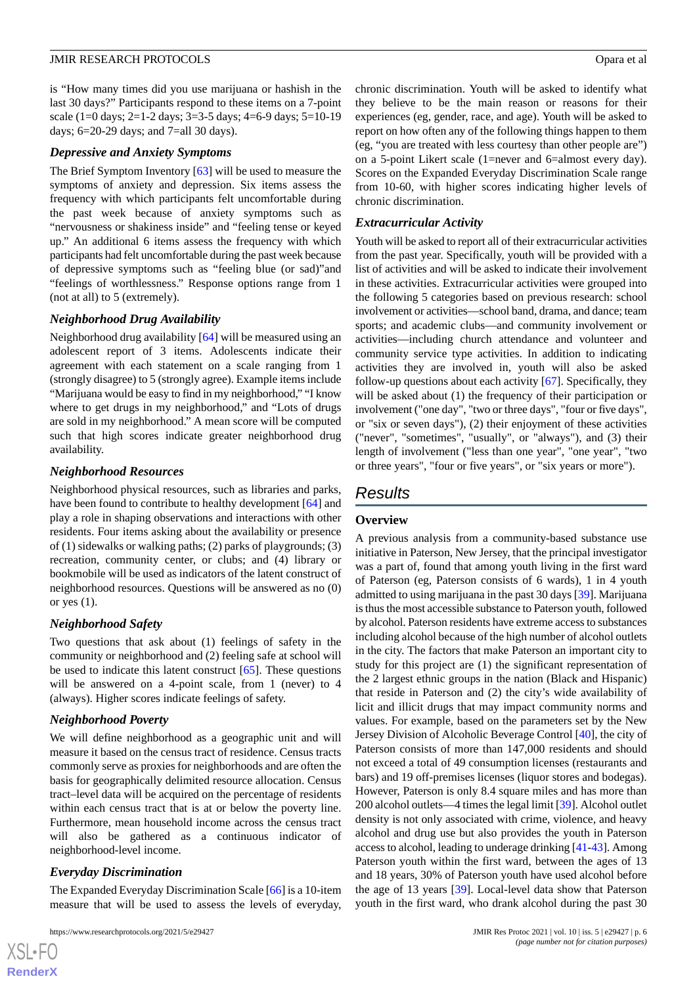is "How many times did you use marijuana or hashish in the last 30 days?" Participants respond to these items on a 7-point scale (1=0 days; 2=1-2 days; 3=3-5 days; 4=6-9 days; 5=10-19 days; 6=20-29 days; and 7=all 30 days).

# *Depressive and Anxiety Symptoms*

The Brief Symptom Inventory [\[63](#page-12-11)] will be used to measure the symptoms of anxiety and depression. Six items assess the frequency with which participants felt uncomfortable during the past week because of anxiety symptoms such as "nervousness or shakiness inside" and "feeling tense or keyed up." An additional 6 items assess the frequency with which participants had felt uncomfortable during the past week because of depressive symptoms such as "feeling blue (or sad)"and "feelings of worthlessness." Response options range from 1 (not at all) to 5 (extremely).

# *Neighborhood Drug Availability*

Neighborhood drug availability [\[64](#page-12-12)] will be measured using an adolescent report of 3 items. Adolescents indicate their agreement with each statement on a scale ranging from 1 (strongly disagree) to 5 (strongly agree). Example items include "Marijuana would be easy to find in my neighborhood," "I know where to get drugs in my neighborhood," and "Lots of drugs are sold in my neighborhood." A mean score will be computed such that high scores indicate greater neighborhood drug availability.

# *Neighborhood Resources*

Neighborhood physical resources, such as libraries and parks, have been found to contribute to healthy development [[64\]](#page-12-12) and play a role in shaping observations and interactions with other residents. Four items asking about the availability or presence of (1) sidewalks or walking paths; (2) parks of playgrounds; (3) recreation, community center, or clubs; and (4) library or bookmobile will be used as indicators of the latent construct of neighborhood resources. Questions will be answered as no (0) or yes (1).

# *Neighborhood Safety*

Two questions that ask about (1) feelings of safety in the community or neighborhood and (2) feeling safe at school will be used to indicate this latent construct [[65\]](#page-12-13). These questions will be answered on a 4-point scale, from 1 (never) to 4 (always). Higher scores indicate feelings of safety.

# *Neighborhood Poverty*

We will define neighborhood as a geographic unit and will measure it based on the census tract of residence. Census tracts commonly serve as proxies for neighborhoods and are often the basis for geographically delimited resource allocation. Census tract–level data will be acquired on the percentage of residents within each census tract that is at or below the poverty line. Furthermore, mean household income across the census tract will also be gathered as a continuous indicator of neighborhood-level income.

# *Everyday Discrimination*

 $XSI - F($ **[RenderX](http://www.renderx.com/)**

The Expanded Everyday Discrimination Scale [\[66](#page-12-14)] is a 10-item measure that will be used to assess the levels of everyday,

chronic discrimination. Youth will be asked to identify what they believe to be the main reason or reasons for their experiences (eg, gender, race, and age). Youth will be asked to report on how often any of the following things happen to them (eg, "you are treated with less courtesy than other people are") on a 5-point Likert scale (1=never and 6=almost every day). Scores on the Expanded Everyday Discrimination Scale range from 10-60, with higher scores indicating higher levels of chronic discrimination.

# *Extracurricular Activity*

Youth will be asked to report all of their extracurricular activities from the past year. Specifically, youth will be provided with a list of activities and will be asked to indicate their involvement in these activities. Extracurricular activities were grouped into the following 5 categories based on previous research: school involvement or activities—school band, drama, and dance; team sports; and academic clubs—and community involvement or activities—including church attendance and volunteer and community service type activities. In addition to indicating activities they are involved in, youth will also be asked follow-up questions about each activity [[67\]](#page-12-15). Specifically, they will be asked about (1) the frequency of their participation or involvement ("one day", "two or three days", "four or five days", or "six or seven days"), (2) their enjoyment of these activities ("never", "sometimes", "usually", or "always"), and (3) their length of involvement ("less than one year", "one year", "two or three years", "four or five years", or "six years or more").

# *Results*

# **Overview**

A previous analysis from a community-based substance use initiative in Paterson, New Jersey, that the principal investigator was a part of, found that among youth living in the first ward of Paterson (eg, Paterson consists of 6 wards), 1 in 4 youth admitted to using marijuana in the past 30 days [[39\]](#page-11-11). Marijuana is thus the most accessible substance to Paterson youth, followed by alcohol. Paterson residents have extreme access to substances including alcohol because of the high number of alcohol outlets in the city. The factors that make Paterson an important city to study for this project are (1) the significant representation of the 2 largest ethnic groups in the nation (Black and Hispanic) that reside in Paterson and (2) the city's wide availability of licit and illicit drugs that may impact community norms and values. For example, based on the parameters set by the New Jersey Division of Alcoholic Beverage Control [[40\]](#page-11-12), the city of Paterson consists of more than 147,000 residents and should not exceed a total of 49 consumption licenses (restaurants and bars) and 19 off-premises licenses (liquor stores and bodegas). However, Paterson is only 8.4 square miles and has more than 200 alcohol outlets—4 times the legal limit [\[39](#page-11-11)]. Alcohol outlet density is not only associated with crime, violence, and heavy alcohol and drug use but also provides the youth in Paterson access to alcohol, leading to underage drinking [\[41](#page-11-13)[-43](#page-11-14)]. Among Paterson youth within the first ward, between the ages of 13 and 18 years, 30% of Paterson youth have used alcohol before the age of 13 years [[39\]](#page-11-11). Local-level data show that Paterson youth in the first ward, who drank alcohol during the past 30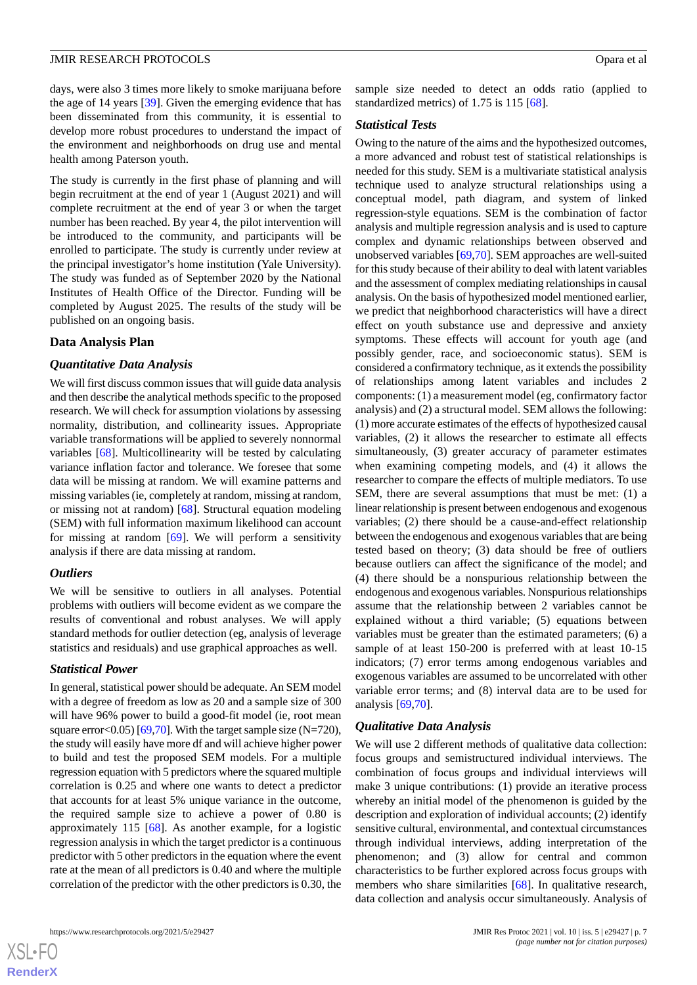days, were also 3 times more likely to smoke marijuana before the age of 14 years [[39\]](#page-11-11). Given the emerging evidence that has been disseminated from this community, it is essential to develop more robust procedures to understand the impact of the environment and neighborhoods on drug use and mental health among Paterson youth.

The study is currently in the first phase of planning and will begin recruitment at the end of year 1 (August 2021) and will complete recruitment at the end of year 3 or when the target number has been reached. By year 4, the pilot intervention will be introduced to the community, and participants will be enrolled to participate. The study is currently under review at the principal investigator's home institution (Yale University). The study was funded as of September 2020 by the National Institutes of Health Office of the Director. Funding will be completed by August 2025. The results of the study will be published on an ongoing basis.

### **Data Analysis Plan**

### *Quantitative Data Analysis*

We will first discuss common issues that will guide data analysis and then describe the analytical methods specific to the proposed research. We will check for assumption violations by assessing normality, distribution, and collinearity issues. Appropriate variable transformations will be applied to severely nonnormal variables [\[68](#page-12-16)]. Multicollinearity will be tested by calculating variance inflation factor and tolerance. We foresee that some data will be missing at random. We will examine patterns and missing variables (ie, completely at random, missing at random, or missing not at random) [[68\]](#page-12-16). Structural equation modeling (SEM) with full information maximum likelihood can account for missing at random [[69\]](#page-12-17). We will perform a sensitivity analysis if there are data missing at random.

### *Outliers*

We will be sensitive to outliers in all analyses. Potential problems with outliers will become evident as we compare the results of conventional and robust analyses. We will apply standard methods for outlier detection (eg, analysis of leverage statistics and residuals) and use graphical approaches as well.

### *Statistical Power*

In general, statistical power should be adequate. An SEM model with a degree of freedom as low as 20 and a sample size of 300 will have 96% power to build a good-fit model (ie, root mean square error <  $0.05$  [ $69,70$  $69,70$ ]. With the target sample size (N=720), the study will easily have more df and will achieve higher power to build and test the proposed SEM models. For a multiple regression equation with 5 predictors where the squared multiple correlation is 0.25 and where one wants to detect a predictor that accounts for at least 5% unique variance in the outcome, the required sample size to achieve a power of 0.80 is approximately 115 [\[68](#page-12-16)]. As another example, for a logistic regression analysis in which the target predictor is a continuous predictor with 5 other predictors in the equation where the event rate at the mean of all predictors is 0.40 and where the multiple correlation of the predictor with the other predictors is 0.30, the

sample size needed to detect an odds ratio (applied to standardized metrics) of 1.75 is 115 [[68\]](#page-12-16).

### *Statistical Tests*

Owing to the nature of the aims and the hypothesized outcomes, a more advanced and robust test of statistical relationships is needed for this study. SEM is a multivariate statistical analysis technique used to analyze structural relationships using a conceptual model, path diagram, and system of linked regression-style equations. SEM is the combination of factor analysis and multiple regression analysis and is used to capture complex and dynamic relationships between observed and unobserved variables [\[69](#page-12-17),[70\]](#page-12-18). SEM approaches are well-suited for this study because of their ability to deal with latent variables and the assessment of complex mediating relationships in causal analysis. On the basis of hypothesized model mentioned earlier, we predict that neighborhood characteristics will have a direct effect on youth substance use and depressive and anxiety symptoms. These effects will account for youth age (and possibly gender, race, and socioeconomic status). SEM is considered a confirmatory technique, as it extends the possibility of relationships among latent variables and includes 2 components: (1) a measurement model (eg, confirmatory factor analysis) and (2) a structural model. SEM allows the following: (1) more accurate estimates of the effects of hypothesized causal variables, (2) it allows the researcher to estimate all effects simultaneously, (3) greater accuracy of parameter estimates when examining competing models, and (4) it allows the researcher to compare the effects of multiple mediators. To use SEM, there are several assumptions that must be met: (1) a linear relationship is present between endogenous and exogenous variables; (2) there should be a cause-and-effect relationship between the endogenous and exogenous variables that are being tested based on theory; (3) data should be free of outliers because outliers can affect the significance of the model; and (4) there should be a nonspurious relationship between the endogenous and exogenous variables. Nonspurious relationships assume that the relationship between 2 variables cannot be explained without a third variable; (5) equations between variables must be greater than the estimated parameters; (6) a sample of at least 150-200 is preferred with at least 10-15 indicators; (7) error terms among endogenous variables and exogenous variables are assumed to be uncorrelated with other variable error terms; and (8) interval data are to be used for analysis [[69,](#page-12-17)[70](#page-12-18)].

# *Qualitative Data Analysis*

We will use 2 different methods of qualitative data collection: focus groups and semistructured individual interviews. The combination of focus groups and individual interviews will make 3 unique contributions: (1) provide an iterative process whereby an initial model of the phenomenon is guided by the description and exploration of individual accounts; (2) identify sensitive cultural, environmental, and contextual circumstances through individual interviews, adding interpretation of the phenomenon; and (3) allow for central and common characteristics to be further explored across focus groups with members who share similarities [\[68](#page-12-16)]. In qualitative research, data collection and analysis occur simultaneously. Analysis of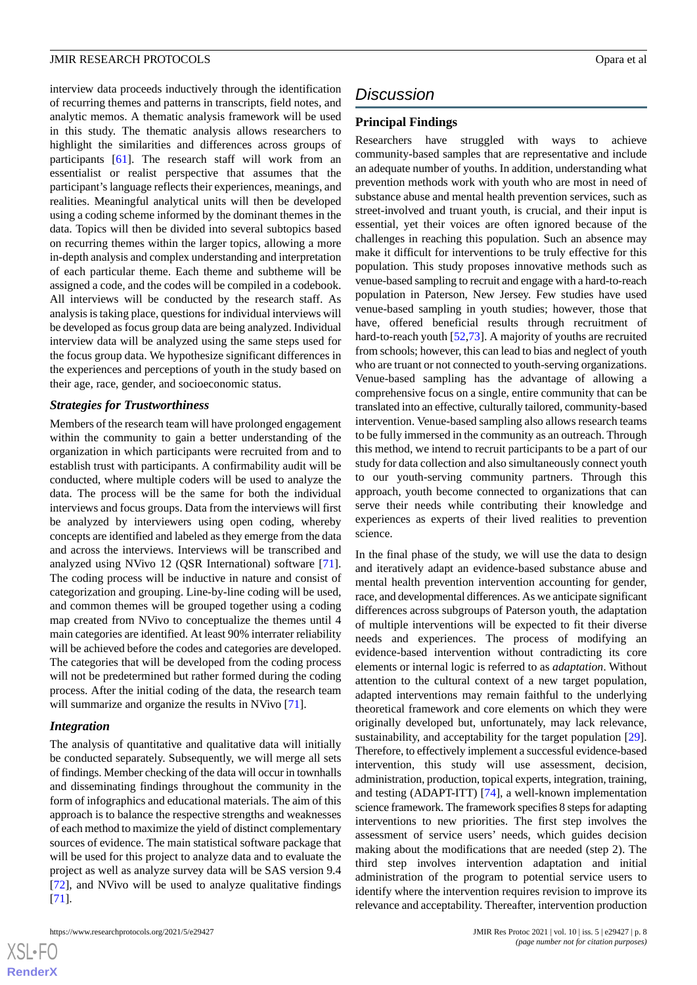interview data proceeds inductively through the identification of recurring themes and patterns in transcripts, field notes, and analytic memos. A thematic analysis framework will be used in this study. The thematic analysis allows researchers to highlight the similarities and differences across groups of participants [\[61](#page-12-9)]. The research staff will work from an essentialist or realist perspective that assumes that the participant's language reflects their experiences, meanings, and realities. Meaningful analytical units will then be developed using a coding scheme informed by the dominant themes in the data. Topics will then be divided into several subtopics based on recurring themes within the larger topics, allowing a more in-depth analysis and complex understanding and interpretation of each particular theme. Each theme and subtheme will be assigned a code, and the codes will be compiled in a codebook. All interviews will be conducted by the research staff. As analysis is taking place, questions for individual interviews will be developed as focus group data are being analyzed. Individual interview data will be analyzed using the same steps used for the focus group data. We hypothesize significant differences in the experiences and perceptions of youth in the study based on their age, race, gender, and socioeconomic status.

### *Strategies for Trustworthiness*

Members of the research team will have prolonged engagement within the community to gain a better understanding of the organization in which participants were recruited from and to establish trust with participants. A confirmability audit will be conducted, where multiple coders will be used to analyze the data. The process will be the same for both the individual interviews and focus groups. Data from the interviews will first be analyzed by interviewers using open coding, whereby concepts are identified and labeled as they emerge from the data and across the interviews. Interviews will be transcribed and analyzed using NVivo 12 (QSR International) software [[71\]](#page-12-19). The coding process will be inductive in nature and consist of categorization and grouping. Line-by-line coding will be used, and common themes will be grouped together using a coding map created from NVivo to conceptualize the themes until 4 main categories are identified. At least 90% interrater reliability will be achieved before the codes and categories are developed. The categories that will be developed from the coding process will not be predetermined but rather formed during the coding process. After the initial coding of the data, the research team will summarize and organize the results in NVivo [\[71](#page-12-19)].

### *Integration*

 $XS$  $\cdot$ FC **[RenderX](http://www.renderx.com/)**

The analysis of quantitative and qualitative data will initially be conducted separately. Subsequently, we will merge all sets of findings. Member checking of the data will occur in townhalls and disseminating findings throughout the community in the form of infographics and educational materials. The aim of this approach is to balance the respective strengths and weaknesses of each method to maximize the yield of distinct complementary sources of evidence. The main statistical software package that will be used for this project to analyze data and to evaluate the project as well as analyze survey data will be SAS version 9.4 [[72\]](#page-12-20), and NVivo will be used to analyze qualitative findings [[71\]](#page-12-19).

#### https://www.researchprotocols.org/2021/5/e29427 JMIR Res Protoc 2021 | vol. 10 | iss. 5 | e29427 | p. 8

# *Discussion*

### **Principal Findings**

Researchers have struggled with ways to achieve community-based samples that are representative and include an adequate number of youths. In addition, understanding what prevention methods work with youth who are most in need of substance abuse and mental health prevention services, such as street-involved and truant youth, is crucial, and their input is essential, yet their voices are often ignored because of the challenges in reaching this population. Such an absence may make it difficult for interventions to be truly effective for this population. This study proposes innovative methods such as venue-based sampling to recruit and engage with a hard-to-reach population in Paterson, New Jersey. Few studies have used venue-based sampling in youth studies; however, those that have, offered beneficial results through recruitment of hard-to-reach youth [[52](#page-12-1)[,73](#page-12-21)]. A majority of youths are recruited from schools; however, this can lead to bias and neglect of youth who are truant or not connected to youth-serving organizations. Venue-based sampling has the advantage of allowing a comprehensive focus on a single, entire community that can be translated into an effective, culturally tailored, community-based intervention. Venue-based sampling also allows research teams to be fully immersed in the community as an outreach. Through this method, we intend to recruit participants to be a part of our study for data collection and also simultaneously connect youth to our youth-serving community partners. Through this approach, youth become connected to organizations that can serve their needs while contributing their knowledge and experiences as experts of their lived realities to prevention science.

In the final phase of the study, we will use the data to design and iteratively adapt an evidence-based substance abuse and mental health prevention intervention accounting for gender, race, and developmental differences. As we anticipate significant differences across subgroups of Paterson youth, the adaptation of multiple interventions will be expected to fit their diverse needs and experiences. The process of modifying an evidence-based intervention without contradicting its core elements or internal logic is referred to as *adaptation*. Without attention to the cultural context of a new target population, adapted interventions may remain faithful to the underlying theoretical framework and core elements on which they were originally developed but, unfortunately, may lack relevance, sustainability, and acceptability for the target population [[29\]](#page-11-1). Therefore, to effectively implement a successful evidence-based intervention, this study will use assessment, decision, administration, production, topical experts, integration, training, and testing (ADAPT-ITT) [[74\]](#page-12-22), a well-known implementation science framework. The framework specifies 8 steps for adapting interventions to new priorities. The first step involves the assessment of service users' needs, which guides decision making about the modifications that are needed (step 2). The third step involves intervention adaptation and initial administration of the program to potential service users to identify where the intervention requires revision to improve its relevance and acceptability. Thereafter, intervention production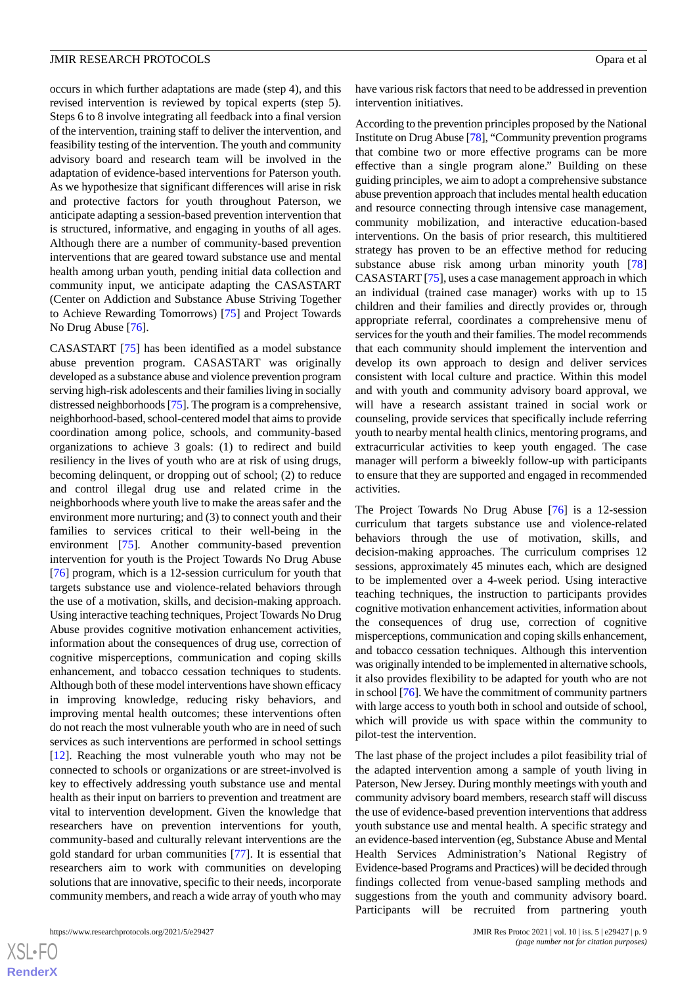According to the prevention principles proposed by the National Institute on Drug Abuse [[78](#page-13-1)], "Community prevention programs that combine two or more effective programs can be more effective than a single program alone." Building on these guiding principles, we aim to adopt a comprehensive substance abuse prevention approach that includes mental health education

occurs in which further adaptations are made (step 4), and this revised intervention is reviewed by topical experts (step 5). Steps 6 to 8 involve integrating all feedback into a final version of the intervention, training staff to deliver the intervention, and feasibility testing of the intervention. The youth and community advisory board and research team will be involved in the adaptation of evidence-based interventions for Paterson youth. As we hypothesize that significant differences will arise in risk and protective factors for youth throughout Paterson, we anticipate adapting a session-based prevention intervention that is structured, informative, and engaging in youths of all ages. Although there are a number of community-based prevention interventions that are geared toward substance use and mental health among urban youth, pending initial data collection and community input, we anticipate adapting the CASASTART (Center on Addiction and Substance Abuse Striving Together to Achieve Rewarding Tomorrows) [[75\]](#page-12-23) and Project Towards No Drug Abuse [[76\]](#page-12-24).

CASASTART [\[75](#page-12-23)] has been identified as a model substance abuse prevention program. CASASTART was originally developed as a substance abuse and violence prevention program serving high-risk adolescents and their families living in socially distressed neighborhoods [\[75\]](#page-12-23). The program is a comprehensive, neighborhood-based, school-centered model that aims to provide coordination among police, schools, and community-based organizations to achieve 3 goals: (1) to redirect and build resiliency in the lives of youth who are at risk of using drugs, becoming delinquent, or dropping out of school; (2) to reduce and control illegal drug use and related crime in the neighborhoods where youth live to make the areas safer and the environment more nurturing; and (3) to connect youth and their families to services critical to their well-being in the environment [\[75](#page-12-23)]. Another community-based prevention intervention for youth is the Project Towards No Drug Abuse [[76\]](#page-12-24) program, which is a 12-session curriculum for youth that targets substance use and violence-related behaviors through the use of a motivation, skills, and decision-making approach. Using interactive teaching techniques, Project Towards No Drug Abuse provides cognitive motivation enhancement activities, information about the consequences of drug use, correction of cognitive misperceptions, communication and coping skills enhancement, and tobacco cessation techniques to students. Although both of these model interventions have shown efficacy in improving knowledge, reducing risky behaviors, and improving mental health outcomes; these interventions often do not reach the most vulnerable youth who are in need of such services as such interventions are performed in school settings [[12\]](#page-10-19). Reaching the most vulnerable youth who may not be connected to schools or organizations or are street-involved is key to effectively addressing youth substance use and mental health as their input on barriers to prevention and treatment are vital to intervention development. Given the knowledge that researchers have on prevention interventions for youth, community-based and culturally relevant interventions are the gold standard for urban communities [\[77](#page-13-0)]. It is essential that researchers aim to work with communities on developing solutions that are innovative, specific to their needs, incorporate community members, and reach a wide array of youth who may

and resource connecting through intensive case management, community mobilization, and interactive education-based interventions. On the basis of prior research, this multitiered strategy has proven to be an effective method for reducing substance abuse risk among urban minority youth [\[78](#page-13-1)] CASASTART [[75\]](#page-12-23), uses a case management approach in which an individual (trained case manager) works with up to 15 children and their families and directly provides or, through appropriate referral, coordinates a comprehensive menu of services for the youth and their families. The model recommends that each community should implement the intervention and develop its own approach to design and deliver services consistent with local culture and practice. Within this model and with youth and community advisory board approval, we will have a research assistant trained in social work or counseling, provide services that specifically include referring youth to nearby mental health clinics, mentoring programs, and extracurricular activities to keep youth engaged. The case manager will perform a biweekly follow-up with participants to ensure that they are supported and engaged in recommended activities.

The Project Towards No Drug Abuse [[76\]](#page-12-24) is a 12-session curriculum that targets substance use and violence-related behaviors through the use of motivation, skills, and decision-making approaches. The curriculum comprises 12 sessions, approximately 45 minutes each, which are designed to be implemented over a 4-week period. Using interactive teaching techniques, the instruction to participants provides cognitive motivation enhancement activities, information about the consequences of drug use, correction of cognitive misperceptions, communication and coping skills enhancement, and tobacco cessation techniques. Although this intervention was originally intended to be implemented in alternative schools, it also provides flexibility to be adapted for youth who are not in school [\[76](#page-12-24)]. We have the commitment of community partners with large access to youth both in school and outside of school, which will provide us with space within the community to pilot-test the intervention.

The last phase of the project includes a pilot feasibility trial of the adapted intervention among a sample of youth living in Paterson, New Jersey. During monthly meetings with youth and community advisory board members, research staff will discuss the use of evidence-based prevention interventions that address youth substance use and mental health. A specific strategy and an evidence-based intervention (eg, Substance Abuse and Mental Health Services Administration's National Registry of Evidence-based Programs and Practices) will be decided through findings collected from venue-based sampling methods and suggestions from the youth and community advisory board. Participants will be recruited from partnering youth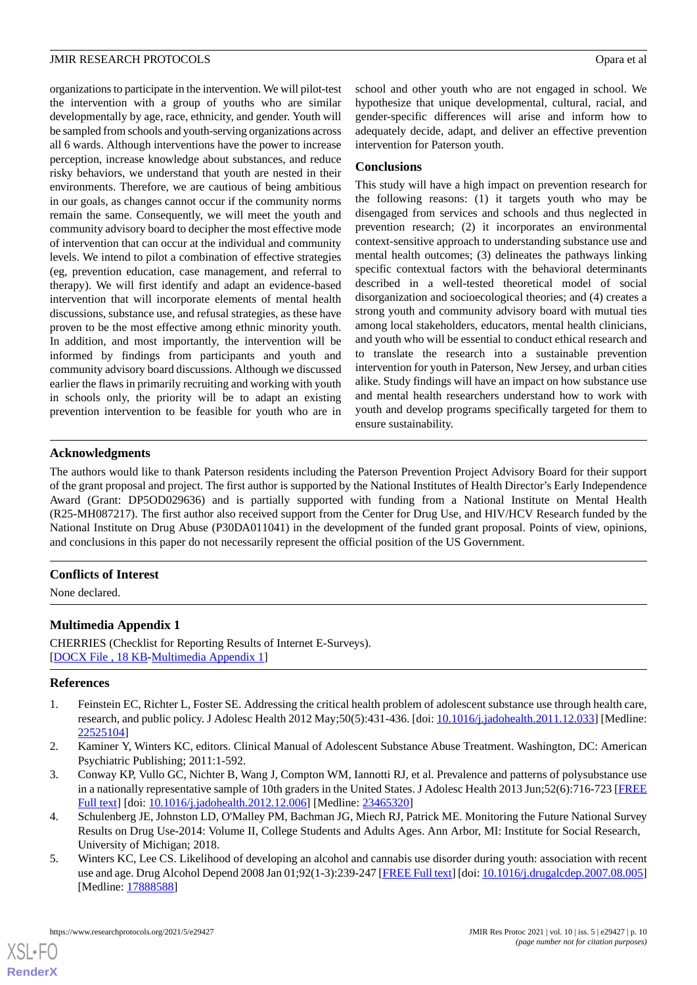organizations to participate in the intervention. We will pilot-test the intervention with a group of youths who are similar developmentally by age, race, ethnicity, and gender. Youth will be sampled from schools and youth-serving organizations across all 6 wards. Although interventions have the power to increase perception, increase knowledge about substances, and reduce risky behaviors, we understand that youth are nested in their environments. Therefore, we are cautious of being ambitious in our goals, as changes cannot occur if the community norms remain the same. Consequently, we will meet the youth and community advisory board to decipher the most effective mode of intervention that can occur at the individual and community levels. We intend to pilot a combination of effective strategies (eg, prevention education, case management, and referral to therapy). We will first identify and adapt an evidence-based intervention that will incorporate elements of mental health discussions, substance use, and refusal strategies, as these have proven to be the most effective among ethnic minority youth. In addition, and most importantly, the intervention will be informed by findings from participants and youth and community advisory board discussions. Although we discussed earlier the flaws in primarily recruiting and working with youth in schools only, the priority will be to adapt an existing prevention intervention to be feasible for youth who are in

school and other youth who are not engaged in school. We hypothesize that unique developmental, cultural, racial, and gender-specific differences will arise and inform how to adequately decide, adapt, and deliver an effective prevention intervention for Paterson youth.

# **Conclusions**

This study will have a high impact on prevention research for the following reasons: (1) it targets youth who may be disengaged from services and schools and thus neglected in prevention research; (2) it incorporates an environmental context-sensitive approach to understanding substance use and mental health outcomes; (3) delineates the pathways linking specific contextual factors with the behavioral determinants described in a well-tested theoretical model of social disorganization and socioecological theories; and (4) creates a strong youth and community advisory board with mutual ties among local stakeholders, educators, mental health clinicians, and youth who will be essential to conduct ethical research and to translate the research into a sustainable prevention intervention for youth in Paterson, New Jersey, and urban cities alike. Study findings will have an impact on how substance use and mental health researchers understand how to work with youth and develop programs specifically targeted for them to ensure sustainability.

# **Acknowledgments**

The authors would like to thank Paterson residents including the Paterson Prevention Project Advisory Board for their support of the grant proposal and project. The first author is supported by the National Institutes of Health Director's Early Independence Award (Grant: DP5OD029636) and is partially supported with funding from a National Institute on Mental Health (R25-MH087217). The first author also received support from the Center for Drug Use, and HIV/HCV Research funded by the National Institute on Drug Abuse (P30DA011041) in the development of the funded grant proposal. Points of view, opinions, and conclusions in this paper do not necessarily represent the official position of the US Government.

# <span id="page-9-4"></span>**Conflicts of Interest**

None declared.

# **Multimedia Appendix 1**

<span id="page-9-0"></span>CHERRIES (Checklist for Reporting Results of Internet E-Surveys). [[DOCX File , 18 KB](https://jmir.org/api/download?alt_name=resprot_v10i5e29427_app1.docx&filename=25fcec289b9145813002a6fbf2e37ce1.docx)-[Multimedia Appendix 1\]](https://jmir.org/api/download?alt_name=resprot_v10i5e29427_app1.docx&filename=25fcec289b9145813002a6fbf2e37ce1.docx)

### **References**

- <span id="page-9-1"></span>1. Feinstein EC, Richter L, Foster SE. Addressing the critical health problem of adolescent substance use through health care, research, and public policy. J Adolesc Health 2012 May; 50(5): 431-436. [doi: [10.1016/j.jadohealth.2011.12.033\]](http://dx.doi.org/10.1016/j.jadohealth.2011.12.033) [Medline: [22525104](http://www.ncbi.nlm.nih.gov/entrez/query.fcgi?cmd=Retrieve&db=PubMed&list_uids=22525104&dopt=Abstract)]
- <span id="page-9-2"></span>2. Kaminer Y, Winters KC, editors. Clinical Manual of Adolescent Substance Abuse Treatment. Washington, DC: American Psychiatric Publishing; 2011:1-592.
- <span id="page-9-3"></span>3. Conway KP, Vullo GC, Nichter B, Wang J, Compton WM, Iannotti RJ, et al. Prevalence and patterns of polysubstance use in a nationally representative sample of 10th graders in the United States. J Adolesc Health 2013 Jun;52(6):716-723 [\[FREE](http://europepmc.org/abstract/MED/23465320) [Full text\]](http://europepmc.org/abstract/MED/23465320) [doi: [10.1016/j.jadohealth.2012.12.006\]](http://dx.doi.org/10.1016/j.jadohealth.2012.12.006) [Medline: [23465320\]](http://www.ncbi.nlm.nih.gov/entrez/query.fcgi?cmd=Retrieve&db=PubMed&list_uids=23465320&dopt=Abstract)
- 4. Schulenberg JE, Johnston LD, O'Malley PM, Bachman JG, Miech RJ, Patrick ME. Monitoring the Future National Survey Results on Drug Use-2014: Volume II, College Students and Adults Ages. Ann Arbor, MI: Institute for Social Research, University of Michigan; 2018.
- 5. Winters KC, Lee CS. Likelihood of developing an alcohol and cannabis use disorder during youth: association with recent use and age. Drug Alcohol Depend 2008 Jan 01;92(1-3):239-247 [[FREE Full text](http://europepmc.org/abstract/MED/17888588)] [doi: [10.1016/j.drugalcdep.2007.08.005](http://dx.doi.org/10.1016/j.drugalcdep.2007.08.005)] [Medline: [17888588](http://www.ncbi.nlm.nih.gov/entrez/query.fcgi?cmd=Retrieve&db=PubMed&list_uids=17888588&dopt=Abstract)]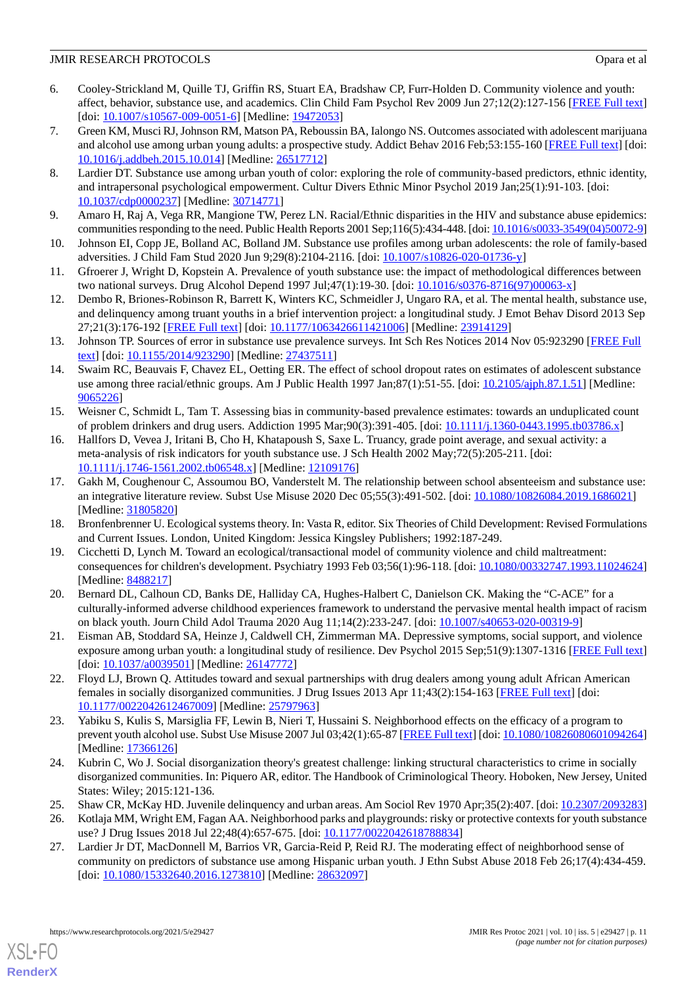- <span id="page-10-0"></span>6. Cooley-Strickland M, Quille TJ, Griffin RS, Stuart EA, Bradshaw CP, Furr-Holden D. Community violence and youth: affect, behavior, substance use, and academics. Clin Child Fam Psychol Rev 2009 Jun 27;12(2):127-156 [\[FREE Full text](http://europepmc.org/abstract/MED/19472053)]  $\left[ \frac{\text{doi: }10.1007}{\text{s}10567-009-0051-6} \right]$  [Medline:  $\frac{19472053}{\text{s}19472053}$ ]
- 7. Green KM, Musci RJ, Johnson RM, Matson PA, Reboussin BA, Ialongo NS. Outcomes associated with adolescent marijuana and alcohol use among urban young adults: a prospective study. Addict Behav 2016 Feb;53:155-160 [[FREE Full text](http://europepmc.org/abstract/MED/26517712)] [doi: [10.1016/j.addbeh.2015.10.014](http://dx.doi.org/10.1016/j.addbeh.2015.10.014)] [Medline: [26517712](http://www.ncbi.nlm.nih.gov/entrez/query.fcgi?cmd=Retrieve&db=PubMed&list_uids=26517712&dopt=Abstract)]
- <span id="page-10-1"></span>8. Lardier DT. Substance use among urban youth of color: exploring the role of community-based predictors, ethnic identity, and intrapersonal psychological empowerment. Cultur Divers Ethnic Minor Psychol 2019 Jan;25(1):91-103. [doi: [10.1037/cdp0000237](http://dx.doi.org/10.1037/cdp0000237)] [Medline: [30714771](http://www.ncbi.nlm.nih.gov/entrez/query.fcgi?cmd=Retrieve&db=PubMed&list_uids=30714771&dopt=Abstract)]
- <span id="page-10-3"></span><span id="page-10-2"></span>9. Amaro H, Raj A, Vega RR, Mangione TW, Perez LN. Racial/Ethnic disparities in the HIV and substance abuse epidemics: communities responding to the need. Public Health Reports 2001 Sep;116(5):434-448. [doi: [10.1016/s0033-3549\(04\)50072-9](http://dx.doi.org/10.1016/s0033-3549(04)50072-9)]
- <span id="page-10-4"></span>10. Johnson EI, Copp JE, Bolland AC, Bolland JM. Substance use profiles among urban adolescents: the role of family-based adversities. J Child Fam Stud 2020 Jun 9;29(8):2104-2116. [doi: [10.1007/s10826-020-01736-y](http://dx.doi.org/10.1007/s10826-020-01736-y)]
- <span id="page-10-19"></span>11. Gfroerer J, Wright D, Kopstein A. Prevalence of youth substance use: the impact of methodological differences between two national surveys. Drug Alcohol Depend 1997 Jul;47(1):19-30. [doi: [10.1016/s0376-8716\(97\)00063-x\]](http://dx.doi.org/10.1016/s0376-8716(97)00063-x)
- <span id="page-10-6"></span>12. Dembo R, Briones-Robinson R, Barrett K, Winters KC, Schmeidler J, Ungaro RA, et al. The mental health, substance use, and delinquency among truant youths in a brief intervention project: a longitudinal study. J Emot Behav Disord 2013 Sep 27;21(3):176-192 [[FREE Full text](http://europepmc.org/abstract/MED/23914129)] [doi: [10.1177/1063426611421006\]](http://dx.doi.org/10.1177/1063426611421006) [Medline: [23914129\]](http://www.ncbi.nlm.nih.gov/entrez/query.fcgi?cmd=Retrieve&db=PubMed&list_uids=23914129&dopt=Abstract)
- <span id="page-10-7"></span>13. Johnson TP. Sources of error in substance use prevalence surveys. Int Sch Res Notices 2014 Nov 05:923290 [[FREE Full](https://doi.org/10.1155/2014/923290) [text](https://doi.org/10.1155/2014/923290)] [doi: [10.1155/2014/923290\]](http://dx.doi.org/10.1155/2014/923290) [Medline: [27437511](http://www.ncbi.nlm.nih.gov/entrez/query.fcgi?cmd=Retrieve&db=PubMed&list_uids=27437511&dopt=Abstract)]
- <span id="page-10-5"></span>14. Swaim RC, Beauvais F, Chavez EL, Oetting ER. The effect of school dropout rates on estimates of adolescent substance use among three racial/ethnic groups. Am J Public Health 1997 Jan;87(1):51-55. [doi: [10.2105/ajph.87.1.51\]](http://dx.doi.org/10.2105/ajph.87.1.51) [Medline: [9065226\]](http://www.ncbi.nlm.nih.gov/entrez/query.fcgi?cmd=Retrieve&db=PubMed&list_uids=9065226&dopt=Abstract)
- <span id="page-10-8"></span>15. Weisner C, Schmidt L, Tam T. Assessing bias in community-based prevalence estimates: towards an unduplicated count of problem drinkers and drug users. Addiction 1995 Mar;90(3):391-405. [doi: [10.1111/j.1360-0443.1995.tb03786.x](http://dx.doi.org/10.1111/j.1360-0443.1995.tb03786.x)]
- <span id="page-10-9"></span>16. Hallfors D, Vevea J, Iritani B, Cho H, Khatapoush S, Saxe L. Truancy, grade point average, and sexual activity: a meta-analysis of risk indicators for youth substance use. J Sch Health 2002 May;72(5):205-211. [doi: [10.1111/j.1746-1561.2002.tb06548.x\]](http://dx.doi.org/10.1111/j.1746-1561.2002.tb06548.x) [Medline: [12109176\]](http://www.ncbi.nlm.nih.gov/entrez/query.fcgi?cmd=Retrieve&db=PubMed&list_uids=12109176&dopt=Abstract)
- <span id="page-10-11"></span><span id="page-10-10"></span>17. Gakh M, Coughenour C, Assoumou BO, Vanderstelt M. The relationship between school absenteeism and substance use: an integrative literature review. Subst Use Misuse 2020 Dec 05;55(3):491-502. [doi: [10.1080/10826084.2019.1686021](http://dx.doi.org/10.1080/10826084.2019.1686021)] [Medline: [31805820](http://www.ncbi.nlm.nih.gov/entrez/query.fcgi?cmd=Retrieve&db=PubMed&list_uids=31805820&dopt=Abstract)]
- <span id="page-10-12"></span>18. Bronfenbrenner U. Ecological systems theory. In: Vasta R, editor. Six Theories of Child Development: Revised Formulations and Current Issues. London, United Kingdom: Jessica Kingsley Publishers; 1992:187-249.
- <span id="page-10-13"></span>19. Cicchetti D, Lynch M. Toward an ecological/transactional model of community violence and child maltreatment: consequences for children's development. Psychiatry 1993 Feb 03;56(1):96-118. [doi: [10.1080/00332747.1993.11024624](http://dx.doi.org/10.1080/00332747.1993.11024624)] [Medline: [8488217\]](http://www.ncbi.nlm.nih.gov/entrez/query.fcgi?cmd=Retrieve&db=PubMed&list_uids=8488217&dopt=Abstract)
- 20. Bernard DL, Calhoun CD, Banks DE, Halliday CA, Hughes-Halbert C, Danielson CK. Making the "C-ACE" for a culturally-informed adverse childhood experiences framework to understand the pervasive mental health impact of racism on black youth. Journ Child Adol Trauma 2020 Aug 11;14(2):233-247. [doi: [10.1007/s40653-020-00319-9](http://dx.doi.org/10.1007/s40653-020-00319-9)]
- <span id="page-10-14"></span>21. Eisman AB, Stoddard SA, Heinze J, Caldwell CH, Zimmerman MA. Depressive symptoms, social support, and violence exposure among urban youth: a longitudinal study of resilience. Dev Psychol 2015 Sep;51(9):1307-1316 [\[FREE Full text](http://europepmc.org/abstract/MED/26147772)] [doi: [10.1037/a0039501\]](http://dx.doi.org/10.1037/a0039501) [Medline: [26147772](http://www.ncbi.nlm.nih.gov/entrez/query.fcgi?cmd=Retrieve&db=PubMed&list_uids=26147772&dopt=Abstract)]
- <span id="page-10-15"></span>22. Floyd LJ, Brown Q. Attitudes toward and sexual partnerships with drug dealers among young adult African American females in socially disorganized communities. J Drug Issues 2013 Apr 11;43(2):154-163 [\[FREE Full text\]](http://europepmc.org/abstract/MED/25797963) [doi: [10.1177/0022042612467009\]](http://dx.doi.org/10.1177/0022042612467009) [Medline: [25797963\]](http://www.ncbi.nlm.nih.gov/entrez/query.fcgi?cmd=Retrieve&db=PubMed&list_uids=25797963&dopt=Abstract)
- <span id="page-10-17"></span><span id="page-10-16"></span>23. Yabiku S, Kulis S, Marsiglia FF, Lewin B, Nieri T, Hussaini S. Neighborhood effects on the efficacy of a program to prevent youth alcohol use. Subst Use Misuse 2007 Jul 03;42(1):65-87 [[FREE Full text\]](http://europepmc.org/abstract/MED/17366126) [doi: [10.1080/10826080601094264](http://dx.doi.org/10.1080/10826080601094264)] [Medline: [17366126](http://www.ncbi.nlm.nih.gov/entrez/query.fcgi?cmd=Retrieve&db=PubMed&list_uids=17366126&dopt=Abstract)]
- <span id="page-10-18"></span>24. Kubrin C, Wo J. Social disorganization theory's greatest challenge: linking structural characteristics to crime in socially disorganized communities. In: Piquero AR, editor. The Handbook of Criminological Theory. Hoboken, New Jersey, United States: Wiley; 2015:121-136.
- 25. Shaw CR, McKay HD. Juvenile delinquency and urban areas. Am Sociol Rev 1970 Apr;35(2):407. [doi: [10.2307/2093283](http://dx.doi.org/10.2307/2093283)]
- 26. Kotlaja MM, Wright EM, Fagan AA. Neighborhood parks and playgrounds: risky or protective contexts for youth substance use? J Drug Issues 2018 Jul 22;48(4):657-675. [doi: [10.1177/0022042618788834](http://dx.doi.org/10.1177/0022042618788834)]
- 27. Lardier Jr DT, MacDonnell M, Barrios VR, Garcia-Reid P, Reid RJ. The moderating effect of neighborhood sense of community on predictors of substance use among Hispanic urban youth. J Ethn Subst Abuse 2018 Feb 26;17(4):434-459. [doi: [10.1080/15332640.2016.1273810](http://dx.doi.org/10.1080/15332640.2016.1273810)] [Medline: [28632097\]](http://www.ncbi.nlm.nih.gov/entrez/query.fcgi?cmd=Retrieve&db=PubMed&list_uids=28632097&dopt=Abstract)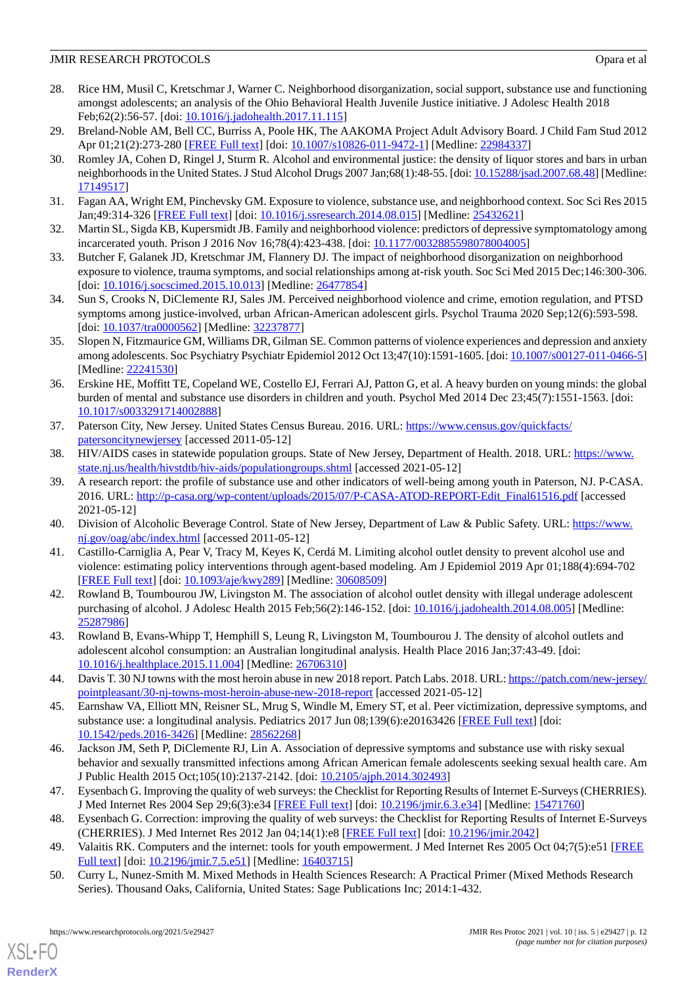- <span id="page-11-0"></span>28. Rice HM, Musil C, Kretschmar J, Warner C. Neighborhood disorganization, social support, substance use and functioning amongst adolescents; an analysis of the Ohio Behavioral Health Juvenile Justice initiative. J Adolesc Health 2018 Feb;62(2):56-57. [doi: [10.1016/j.jadohealth.2017.11.115](http://dx.doi.org/10.1016/j.jadohealth.2017.11.115)]
- <span id="page-11-2"></span><span id="page-11-1"></span>29. Breland-Noble AM, Bell CC, Burriss A, Poole HK, The AAKOMA Project Adult Advisory Board. J Child Fam Stud 2012 Apr 01;21(2):273-280 [[FREE Full text](http://europepmc.org/abstract/MED/22984337)] [doi: [10.1007/s10826-011-9472-1\]](http://dx.doi.org/10.1007/s10826-011-9472-1) [Medline: [22984337](http://www.ncbi.nlm.nih.gov/entrez/query.fcgi?cmd=Retrieve&db=PubMed&list_uids=22984337&dopt=Abstract)]
- 30. Romley JA, Cohen D, Ringel J, Sturm R. Alcohol and environmental justice: the density of liquor stores and bars in urban neighborhoods in the United States. J Stud Alcohol Drugs 2007 Jan;68(1):48-55. [doi: [10.15288/jsad.2007.68.48](http://dx.doi.org/10.15288/jsad.2007.68.48)] [Medline: [17149517](http://www.ncbi.nlm.nih.gov/entrez/query.fcgi?cmd=Retrieve&db=PubMed&list_uids=17149517&dopt=Abstract)]
- <span id="page-11-4"></span><span id="page-11-3"></span>31. Fagan AA, Wright EM, Pinchevsky GM. Exposure to violence, substance use, and neighborhood context. Soc Sci Res 2015 Jan;49:314-326 [[FREE Full text\]](http://europepmc.org/abstract/MED/25432621) [doi: [10.1016/j.ssresearch.2014.08.015](http://dx.doi.org/10.1016/j.ssresearch.2014.08.015)] [Medline: [25432621](http://www.ncbi.nlm.nih.gov/entrez/query.fcgi?cmd=Retrieve&db=PubMed&list_uids=25432621&dopt=Abstract)]
- <span id="page-11-5"></span>32. Martin SL, Sigda KB, Kupersmidt JB. Family and neighborhood violence: predictors of depressive symptomatology among incarcerated youth. Prison J 2016 Nov 16;78(4):423-438. [doi: [10.1177/0032885598078004005](http://dx.doi.org/10.1177/0032885598078004005)]
- <span id="page-11-6"></span>33. Butcher F, Galanek JD, Kretschmar JM, Flannery DJ. The impact of neighborhood disorganization on neighborhood exposure to violence, trauma symptoms, and social relationships among at-risk youth. Soc Sci Med 2015 Dec;146:300-306. [doi: [10.1016/j.socscimed.2015.10.013\]](http://dx.doi.org/10.1016/j.socscimed.2015.10.013) [Medline: [26477854](http://www.ncbi.nlm.nih.gov/entrez/query.fcgi?cmd=Retrieve&db=PubMed&list_uids=26477854&dopt=Abstract)]
- <span id="page-11-7"></span>34. Sun S, Crooks N, DiClemente RJ, Sales JM. Perceived neighborhood violence and crime, emotion regulation, and PTSD symptoms among justice-involved, urban African-American adolescent girls. Psychol Trauma 2020 Sep;12(6):593-598. [doi: [10.1037/tra0000562\]](http://dx.doi.org/10.1037/tra0000562) [Medline: [32237877](http://www.ncbi.nlm.nih.gov/entrez/query.fcgi?cmd=Retrieve&db=PubMed&list_uids=32237877&dopt=Abstract)]
- <span id="page-11-8"></span>35. Slopen N, Fitzmaurice GM, Williams DR, Gilman SE. Common patterns of violence experiences and depression and anxiety among adolescents. Soc Psychiatry Psychiatr Epidemiol 2012 Oct 13;47(10):1591-1605. [doi: [10.1007/s00127-011-0466-5\]](http://dx.doi.org/10.1007/s00127-011-0466-5) [Medline: [22241530](http://www.ncbi.nlm.nih.gov/entrez/query.fcgi?cmd=Retrieve&db=PubMed&list_uids=22241530&dopt=Abstract)]
- <span id="page-11-9"></span>36. Erskine HE, Moffitt TE, Copeland WE, Costello EJ, Ferrari AJ, Patton G, et al. A heavy burden on young minds: the global burden of mental and substance use disorders in children and youth. Psychol Med 2014 Dec 23;45(7):1551-1563. [doi: [10.1017/s0033291714002888\]](http://dx.doi.org/10.1017/s0033291714002888)
- <span id="page-11-11"></span><span id="page-11-10"></span>37. Paterson City, New Jersey. United States Census Bureau. 2016. URL: [https://www.census.gov/quickfacts/](https://www.census.gov/quickfacts/patersoncitynewjersey) [patersoncitynewjersey](https://www.census.gov/quickfacts/patersoncitynewjersey) [accessed 2011-05-12]
- 38. HIV/AIDS cases in statewide population groups. State of New Jersey, Department of Health. 2018. URL: [https://www.](https://www.state.nj.us/health/hivstdtb/hiv-aids/populationgroups.shtml) [state.nj.us/health/hivstdtb/hiv-aids/populationgroups.shtml](https://www.state.nj.us/health/hivstdtb/hiv-aids/populationgroups.shtml) [accessed 2021-05-12]
- <span id="page-11-13"></span><span id="page-11-12"></span>39. A research report: the profile of substance use and other indicators of well-being among youth in Paterson, NJ. P-CASA. 2016. URL: [http://p-casa.org/wp-content/uploads/2015/07/P-CASA-ATOD-REPORT-Edit\\_Final61516.pdf](http://p-casa.org/wp-content/uploads/2015/07/P-CASA-ATOD-REPORT-Edit_Final61516.pdf) [accessed 2021-05-12]
- 40. Division of Alcoholic Beverage Control. State of New Jersey, Department of Law & Public Safety. URL: [https://www.](https://www.nj.gov/oag/abc/index.html) [nj.gov/oag/abc/index.html](https://www.nj.gov/oag/abc/index.html) [accessed 2011-05-12]
- <span id="page-11-14"></span>41. Castillo-Carniglia A, Pear V, Tracy M, Keyes K, Cerdá M. Limiting alcohol outlet density to prevent alcohol use and violence: estimating policy interventions through agent-based modeling. Am J Epidemiol 2019 Apr 01;188(4):694-702 [[FREE Full text](http://europepmc.org/abstract/MED/30608509)] [doi: [10.1093/aje/kwy289](http://dx.doi.org/10.1093/aje/kwy289)] [Medline: [30608509](http://www.ncbi.nlm.nih.gov/entrez/query.fcgi?cmd=Retrieve&db=PubMed&list_uids=30608509&dopt=Abstract)]
- <span id="page-11-15"></span>42. Rowland B, Toumbourou JW, Livingston M. The association of alcohol outlet density with illegal underage adolescent purchasing of alcohol. J Adolesc Health 2015 Feb;56(2):146-152. [doi: [10.1016/j.jadohealth.2014.08.005](http://dx.doi.org/10.1016/j.jadohealth.2014.08.005)] [Medline: [25287986](http://www.ncbi.nlm.nih.gov/entrez/query.fcgi?cmd=Retrieve&db=PubMed&list_uids=25287986&dopt=Abstract)]
- <span id="page-11-16"></span>43. Rowland B, Evans-Whipp T, Hemphill S, Leung R, Livingston M, Toumbourou J. The density of alcohol outlets and adolescent alcohol consumption: an Australian longitudinal analysis. Health Place 2016 Jan;37:43-49. [doi: [10.1016/j.healthplace.2015.11.004](http://dx.doi.org/10.1016/j.healthplace.2015.11.004)] [Medline: [26706310\]](http://www.ncbi.nlm.nih.gov/entrez/query.fcgi?cmd=Retrieve&db=PubMed&list_uids=26706310&dopt=Abstract)
- <span id="page-11-17"></span>44. Davis T. 30 NJ towns with the most heroin abuse in new 2018 report. Patch Labs. 2018. URL: [https://patch.com/new-jersey/](https://patch.com/new-jersey/pointpleasant/30-nj-towns-most-heroin-abuse-new-2018-report) [pointpleasant/30-nj-towns-most-heroin-abuse-new-2018-report](https://patch.com/new-jersey/pointpleasant/30-nj-towns-most-heroin-abuse-new-2018-report) [accessed 2021-05-12]
- <span id="page-11-18"></span>45. Earnshaw VA, Elliott MN, Reisner SL, Mrug S, Windle M, Emery ST, et al. Peer victimization, depressive symptoms, and substance use: a longitudinal analysis. Pediatrics 2017 Jun 08;139(6):e20163426 [[FREE Full text](http://pediatrics.aappublications.org/cgi/pmidlookup?view=long&pmid=28562268)] [doi: [10.1542/peds.2016-3426\]](http://dx.doi.org/10.1542/peds.2016-3426) [Medline: [28562268\]](http://www.ncbi.nlm.nih.gov/entrez/query.fcgi?cmd=Retrieve&db=PubMed&list_uids=28562268&dopt=Abstract)
- <span id="page-11-20"></span><span id="page-11-19"></span>46. Jackson JM, Seth P, DiClemente RJ, Lin A. Association of depressive symptoms and substance use with risky sexual behavior and sexually transmitted infections among African American female adolescents seeking sexual health care. Am J Public Health 2015 Oct;105(10):2137-2142. [doi: [10.2105/ajph.2014.302493\]](http://dx.doi.org/10.2105/ajph.2014.302493)
- <span id="page-11-21"></span>47. Eysenbach G. Improving the quality of web surveys: the Checklist for Reporting Results of Internet E-Surveys (CHERRIES). J Med Internet Res 2004 Sep 29;6(3):e34 [\[FREE Full text\]](https://www.jmir.org/2004/3/e34/) [doi: [10.2196/jmir.6.3.e34](http://dx.doi.org/10.2196/jmir.6.3.e34)] [Medline: [15471760](http://www.ncbi.nlm.nih.gov/entrez/query.fcgi?cmd=Retrieve&db=PubMed&list_uids=15471760&dopt=Abstract)]
- 48. Eysenbach G. Correction: improving the quality of web surveys: the Checklist for Reporting Results of Internet E-Surveys (CHERRIES). J Med Internet Res 2012 Jan 04;14(1):e8 [[FREE Full text](https://www.jmir.org/2012/1/e8/)] [doi: [10.2196/jmir.2042](http://dx.doi.org/10.2196/jmir.2042)]
- 49. Valaitis RK. Computers and the internet: tools for youth empowerment. J Med Internet Res 2005 Oct 04;7(5):e51 [\[FREE](https://www.jmir.org/2005/5/e51/) [Full text\]](https://www.jmir.org/2005/5/e51/) [doi: [10.2196/jmir.7.5.e51\]](http://dx.doi.org/10.2196/jmir.7.5.e51) [Medline: [16403715](http://www.ncbi.nlm.nih.gov/entrez/query.fcgi?cmd=Retrieve&db=PubMed&list_uids=16403715&dopt=Abstract)]
- 50. Curry L, Nunez-Smith M. Mixed Methods in Health Sciences Research: A Practical Primer (Mixed Methods Research Series). Thousand Oaks, California, United States: Sage Publications Inc; 2014:1-432.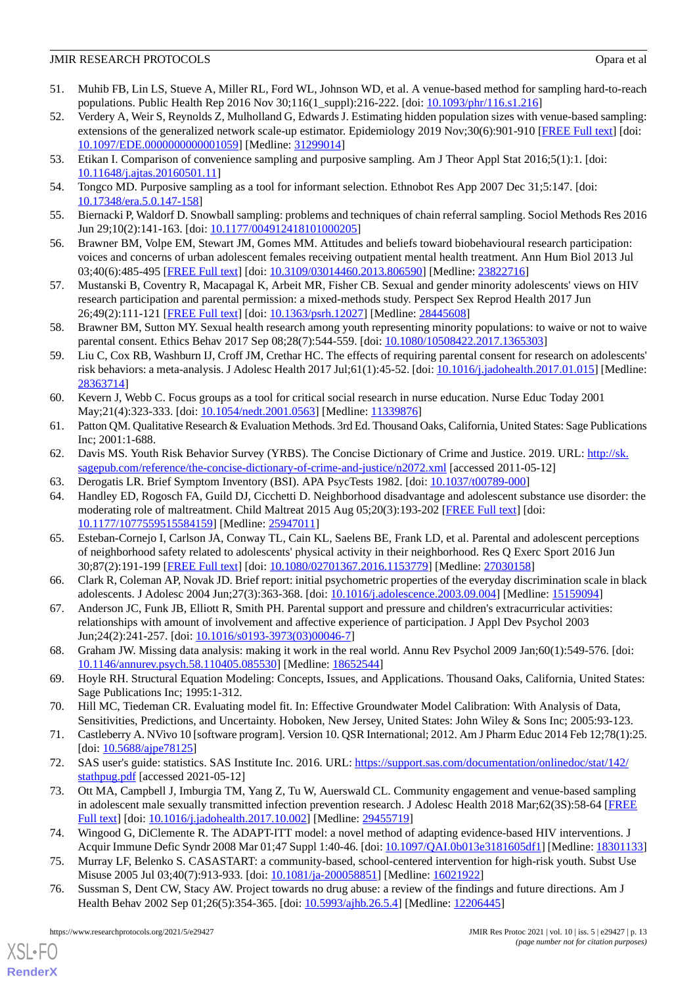- <span id="page-12-0"></span>51. Muhib FB, Lin LS, Stueve A, Miller RL, Ford WL, Johnson WD, et al. A venue-based method for sampling hard-to-reach populations. Public Health Rep 2016 Nov 30;116(1\_suppl):216-222. [doi: [10.1093/phr/116.s1.216\]](http://dx.doi.org/10.1093/phr/116.s1.216)
- <span id="page-12-1"></span>52. Verdery A, Weir S, Reynolds Z, Mulholland G, Edwards J. Estimating hidden population sizes with venue-based sampling: extensions of the generalized network scale-up estimator. Epidemiology 2019 Nov;30(6):901-910 [\[FREE Full text](http://europepmc.org/abstract/MED/31299014)] [doi: [10.1097/EDE.0000000000001059\]](http://dx.doi.org/10.1097/EDE.0000000000001059) [Medline: [31299014\]](http://www.ncbi.nlm.nih.gov/entrez/query.fcgi?cmd=Retrieve&db=PubMed&list_uids=31299014&dopt=Abstract)
- <span id="page-12-3"></span><span id="page-12-2"></span>53. Etikan I. Comparison of convenience sampling and purposive sampling. Am J Theor Appl Stat 2016;5(1):1. [doi: [10.11648/j.ajtas.20160501.11](http://dx.doi.org/10.11648/j.ajtas.20160501.11)]
- <span id="page-12-4"></span>54. Tongco MD. Purposive sampling as a tool for informant selection. Ethnobot Res App 2007 Dec 31;5:147. [doi: [10.17348/era.5.0.147-158\]](http://dx.doi.org/10.17348/era.5.0.147-158)
- <span id="page-12-5"></span>55. Biernacki P, Waldorf D. Snowball sampling: problems and techniques of chain referral sampling. Sociol Methods Res 2016 Jun 29;10(2):141-163. [doi: [10.1177/004912418101000205](http://dx.doi.org/10.1177/004912418101000205)]
- <span id="page-12-6"></span>56. Brawner BM, Volpe EM, Stewart JM, Gomes MM. Attitudes and beliefs toward biobehavioural research participation: voices and concerns of urban adolescent females receiving outpatient mental health treatment. Ann Hum Biol 2013 Jul 03;40(6):485-495 [[FREE Full text](http://europepmc.org/abstract/MED/23822716)] [doi: [10.3109/03014460.2013.806590\]](http://dx.doi.org/10.3109/03014460.2013.806590) [Medline: [23822716\]](http://www.ncbi.nlm.nih.gov/entrez/query.fcgi?cmd=Retrieve&db=PubMed&list_uids=23822716&dopt=Abstract)
- 57. Mustanski B, Coventry R, Macapagal K, Arbeit MR, Fisher CB. Sexual and gender minority adolescents' views on HIV research participation and parental permission: a mixed-methods study. Perspect Sex Reprod Health 2017 Jun 26;49(2):111-121 [[FREE Full text](http://europepmc.org/abstract/MED/28445608)] [doi: [10.1363/psrh.12027](http://dx.doi.org/10.1363/psrh.12027)] [Medline: [28445608](http://www.ncbi.nlm.nih.gov/entrez/query.fcgi?cmd=Retrieve&db=PubMed&list_uids=28445608&dopt=Abstract)]
- <span id="page-12-7"></span>58. Brawner BM, Sutton MY. Sexual health research among youth representing minority populations: to waive or not to waive parental consent. Ethics Behav 2017 Sep 08;28(7):544-559. [doi: [10.1080/10508422.2017.1365303](http://dx.doi.org/10.1080/10508422.2017.1365303)]
- <span id="page-12-8"></span>59. Liu C, Cox RB, Washburn IJ, Croff JM, Crethar HC. The effects of requiring parental consent for research on adolescents' risk behaviors: a meta-analysis. J Adolesc Health 2017 Jul;61(1):45-52. [doi: [10.1016/j.jadohealth.2017.01.015\]](http://dx.doi.org/10.1016/j.jadohealth.2017.01.015) [Medline: [28363714](http://www.ncbi.nlm.nih.gov/entrez/query.fcgi?cmd=Retrieve&db=PubMed&list_uids=28363714&dopt=Abstract)]
- <span id="page-12-10"></span><span id="page-12-9"></span>60. Kevern J, Webb C. Focus groups as a tool for critical social research in nurse education. Nurse Educ Today 2001 May; 21(4): 323-333. [doi: 10.1054/nedt. 2001. 0563] [Medline: [11339876](http://www.ncbi.nlm.nih.gov/entrez/query.fcgi?cmd=Retrieve&db=PubMed&list_uids=11339876&dopt=Abstract)]
- <span id="page-12-11"></span>61. Patton QM. Qualitative Research & Evaluation Methods. 3rd Ed. Thousand Oaks, California, United States: Sage Publications Inc; 2001:1-688.
- <span id="page-12-12"></span>62. Davis MS. Youth Risk Behavior Survey (YRBS). The Concise Dictionary of Crime and Justice. 2019. URL: [http://sk.](http://sk.sagepub.com/reference/the-concise-dictionary-of-crime-and-justice/n2072.xml) [sagepub.com/reference/the-concise-dictionary-of-crime-and-justice/n2072.xml](http://sk.sagepub.com/reference/the-concise-dictionary-of-crime-and-justice/n2072.xml) [accessed 2011-05-12]
- <span id="page-12-13"></span>63. Derogatis LR. Brief Symptom Inventory (BSI). APA PsycTests 1982. [doi: [10.1037/t00789-000](http://dx.doi.org/10.1037/t00789-000)]
- 64. Handley ED, Rogosch FA, Guild DJ, Cicchetti D. Neighborhood disadvantage and adolescent substance use disorder: the moderating role of maltreatment. Child Maltreat 2015 Aug 05;20(3):193-202 [[FREE Full text](http://europepmc.org/abstract/MED/25947011)] [doi: [10.1177/1077559515584159\]](http://dx.doi.org/10.1177/1077559515584159) [Medline: [25947011\]](http://www.ncbi.nlm.nih.gov/entrez/query.fcgi?cmd=Retrieve&db=PubMed&list_uids=25947011&dopt=Abstract)
- <span id="page-12-15"></span><span id="page-12-14"></span>65. Esteban-Cornejo I, Carlson JA, Conway TL, Cain KL, Saelens BE, Frank LD, et al. Parental and adolescent perceptions of neighborhood safety related to adolescents' physical activity in their neighborhood. Res Q Exerc Sport 2016 Jun 30;87(2):191-199 [[FREE Full text](http://europepmc.org/abstract/MED/27030158)] [doi: [10.1080/02701367.2016.1153779\]](http://dx.doi.org/10.1080/02701367.2016.1153779) [Medline: [27030158\]](http://www.ncbi.nlm.nih.gov/entrez/query.fcgi?cmd=Retrieve&db=PubMed&list_uids=27030158&dopt=Abstract)
- <span id="page-12-16"></span>66. Clark R, Coleman AP, Novak JD. Brief report: initial psychometric properties of the everyday discrimination scale in black adolescents. J Adolesc 2004 Jun;27(3):363-368. [doi: [10.1016/j.adolescence.2003.09.004\]](http://dx.doi.org/10.1016/j.adolescence.2003.09.004) [Medline: [15159094\]](http://www.ncbi.nlm.nih.gov/entrez/query.fcgi?cmd=Retrieve&db=PubMed&list_uids=15159094&dopt=Abstract)
- <span id="page-12-17"></span>67. Anderson JC, Funk JB, Elliott R, Smith PH. Parental support and pressure and children's extracurricular activities: relationships with amount of involvement and affective experience of participation. J Appl Dev Psychol 2003 Jun;24(2):241-257. [doi: [10.1016/s0193-3973\(03\)00046-7\]](http://dx.doi.org/10.1016/s0193-3973(03)00046-7)
- <span id="page-12-19"></span><span id="page-12-18"></span>68. Graham JW. Missing data analysis: making it work in the real world. Annu Rev Psychol 2009 Jan;60(1):549-576. [doi: [10.1146/annurev.psych.58.110405.085530](http://dx.doi.org/10.1146/annurev.psych.58.110405.085530)] [Medline: [18652544](http://www.ncbi.nlm.nih.gov/entrez/query.fcgi?cmd=Retrieve&db=PubMed&list_uids=18652544&dopt=Abstract)]
- <span id="page-12-20"></span>69. Hoyle RH. Structural Equation Modeling: Concepts, Issues, and Applications. Thousand Oaks, California, United States: Sage Publications Inc; 1995:1-312.
- <span id="page-12-21"></span>70. Hill MC, Tiedeman CR. Evaluating model fit. In: Effective Groundwater Model Calibration: With Analysis of Data, Sensitivities, Predictions, and Uncertainty. Hoboken, New Jersey, United States: John Wiley & Sons Inc; 2005:93-123.
- 71. Castleberry A. NVivo 10 [software program]. Version 10. QSR International; 2012. Am J Pharm Educ 2014 Feb 12;78(1):25. [doi: [10.5688/ajpe78125\]](http://dx.doi.org/10.5688/ajpe78125)
- <span id="page-12-23"></span><span id="page-12-22"></span>72. SAS user's guide: statistics. SAS Institute Inc. 2016. URL: [https://support.sas.com/documentation/onlinedoc/stat/142/](https://support.sas.com/documentation/onlinedoc/stat/142/stathpug.pdf) [stathpug.pdf](https://support.sas.com/documentation/onlinedoc/stat/142/stathpug.pdf) [accessed 2021-05-12]
- <span id="page-12-24"></span>73. Ott MA, Campbell J, Imburgia TM, Yang Z, Tu W, Auerswald CL. Community engagement and venue-based sampling in adolescent male sexually transmitted infection prevention research. J Adolesc Health 2018 Mar;62(3S):58-64 [[FREE](https://linkinghub.elsevier.com/retrieve/pii/S1054-139X(17)30498-6) [Full text\]](https://linkinghub.elsevier.com/retrieve/pii/S1054-139X(17)30498-6) [doi: [10.1016/j.jadohealth.2017.10.002\]](http://dx.doi.org/10.1016/j.jadohealth.2017.10.002) [Medline: [29455719\]](http://www.ncbi.nlm.nih.gov/entrez/query.fcgi?cmd=Retrieve&db=PubMed&list_uids=29455719&dopt=Abstract)
- 74. Wingood G, DiClemente R. The ADAPT-ITT model: a novel method of adapting evidence-based HIV interventions. J Acquir Immune Defic Syndr 2008 Mar 01;47 Suppl 1:40-46. [doi: [10.1097/QAI.0b013e3181605df1\]](http://dx.doi.org/10.1097/QAI.0b013e3181605df1) [Medline: [18301133](http://www.ncbi.nlm.nih.gov/entrez/query.fcgi?cmd=Retrieve&db=PubMed&list_uids=18301133&dopt=Abstract)]
- 75. Murray LF, Belenko S. CASASTART: a community-based, school-centered intervention for high-risk youth. Subst Use Misuse 2005 Jul 03;40(7):913-933. [doi: [10.1081/ja-200058851](http://dx.doi.org/10.1081/ja-200058851)] [Medline: [16021922](http://www.ncbi.nlm.nih.gov/entrez/query.fcgi?cmd=Retrieve&db=PubMed&list_uids=16021922&dopt=Abstract)]
- 76. Sussman S, Dent CW, Stacy AW. Project towards no drug abuse: a review of the findings and future directions. Am J Health Behav 2002 Sep 01;26(5):354-365. [doi: [10.5993/ajhb.26.5.4](http://dx.doi.org/10.5993/ajhb.26.5.4)] [Medline: [12206445\]](http://www.ncbi.nlm.nih.gov/entrez/query.fcgi?cmd=Retrieve&db=PubMed&list_uids=12206445&dopt=Abstract)